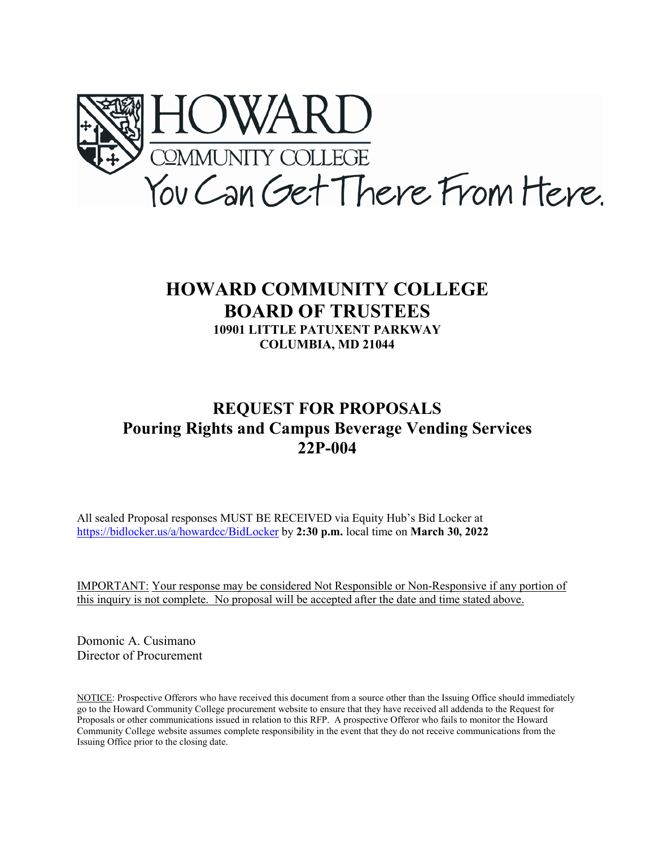

# **HOWARD COMMUNITY COLLEGE BOARD OF TRUSTEES 10901 LITTLE PATUXENT PARKWAY COLUMBIA, MD 21044**

# **REQUEST FOR PROPOSALS Pouring Rights and Campus Beverage Vending Services 22P-004**

All sealed Proposal responses MUST BE RECEIVED via Equity Hub's Bid Locker at <https://bidlocker.us/a/howardcc/BidLocker> by **2:30 p.m.** local time on **March 30, 2022**

IMPORTANT: Your response may be considered Not Responsible or Non-Responsive if any portion of this inquiry is not complete. No proposal will be accepted after the date and time stated above.

Domonic A. Cusimano Director of Procurement

NOTICE: Prospective Offerors who have received this document from a source other than the Issuing Office should immediately go to the Howard Community College procurement website to ensure that they have received all addenda to the Request for Proposals or other communications issued in relation to this RFP. A prospective Offeror who fails to monitor the Howard Community College website assumes complete responsibility in the event that they do not receive communications from the Issuing Office prior to the closing date.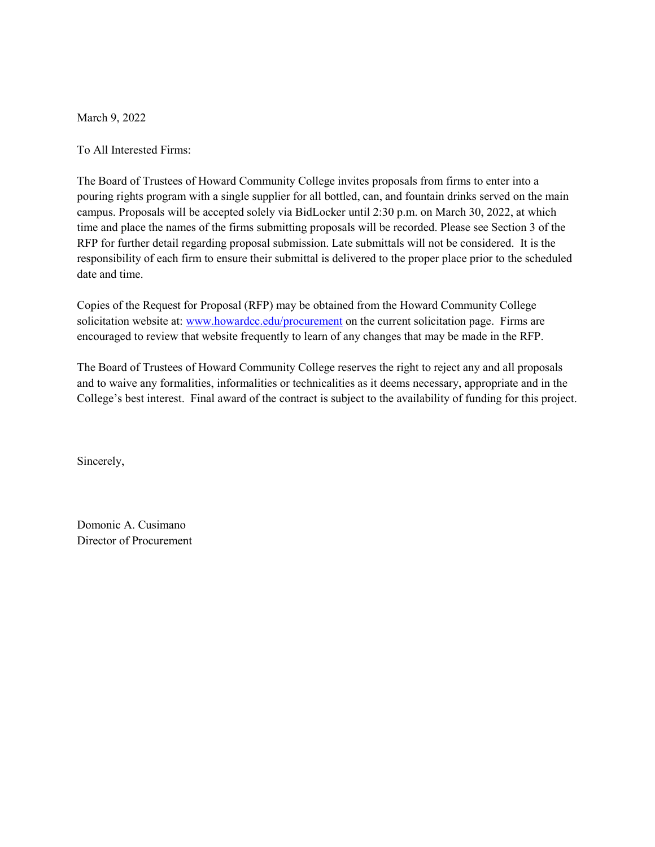March 9, 2022

To All Interested Firms:

The Board of Trustees of Howard Community College invites proposals from firms to enter into a pouring rights program with a single supplier for all bottled, can, and fountain drinks served on the main campus. Proposals will be accepted solely via BidLocker until 2:30 p.m. on March 30, 2022, at which time and place the names of the firms submitting proposals will be recorded. Please see Section 3 of the RFP for further detail regarding proposal submission. Late submittals will not be considered. It is the responsibility of each firm to ensure their submittal is delivered to the proper place prior to the scheduled date and time.

Copies of the Request for Proposal (RFP) may be obtained from the Howard Community College solicitation website at[: www.howardcc.edu/procurement](http://www.howardcc.edu/procurement) on the current solicitation page. Firms are encouraged to review that website frequently to learn of any changes that may be made in the RFP.

The Board of Trustees of Howard Community College reserves the right to reject any and all proposals and to waive any formalities, informalities or technicalities as it deems necessary, appropriate and in the College's best interest. Final award of the contract is subject to the availability of funding for this project.

Sincerely,

Domonic A. Cusimano Director of Procurement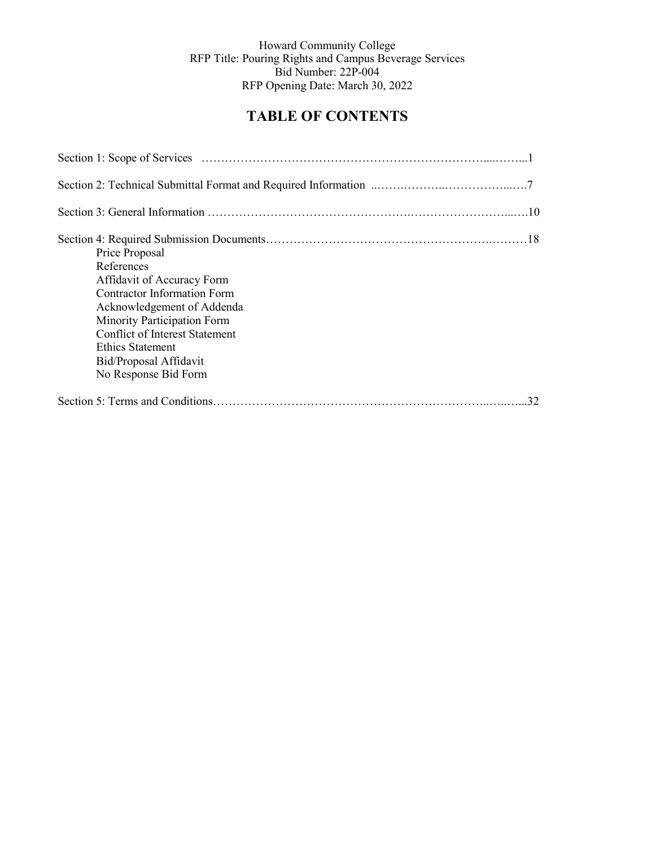# **TABLE OF CONTENTS**

| Price Proposal<br>References<br>Affidavit of Accuracy Form<br>Contractor Information Form<br>Acknowledgement of Addenda<br>Minority Participation Form<br><b>Conflict of Interest Statement</b><br>Ethics Statement<br>Bid/Proposal Affidavit<br>No Response Bid Form |
|-----------------------------------------------------------------------------------------------------------------------------------------------------------------------------------------------------------------------------------------------------------------------|
| 32                                                                                                                                                                                                                                                                    |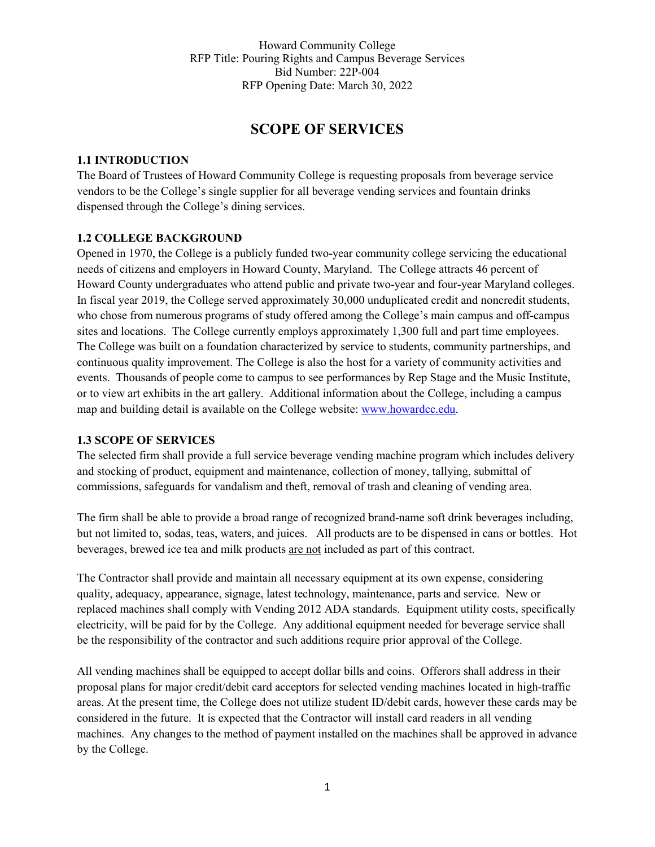# **SCOPE OF SERVICES**

#### **1.1 INTRODUCTION**

The Board of Trustees of Howard Community College is requesting proposals from beverage service vendors to be the College's single supplier for all beverage vending services and fountain drinks dispensed through the College's dining services.

## **1.2 COLLEGE BACKGROUND**

Opened in 1970, the College is a publicly funded two-year community college servicing the educational needs of citizens and employers in Howard County, Maryland. The College attracts 46 percent of Howard County undergraduates who attend public and private two-year and four-year Maryland colleges. In fiscal year 2019, the College served approximately 30,000 unduplicated credit and noncredit students, who chose from numerous programs of study offered among the College's main campus and off-campus sites and locations. The College currently employs approximately 1,300 full and part time employees. The College was built on a foundation characterized by service to students, community partnerships, and continuous quality improvement. The College is also the host for a variety of community activities and events. Thousands of people come to campus to see performances by Rep Stage and the Music Institute, or to view art exhibits in the art gallery. Additional information about the College, including a campus map and building detail is available on the College website: [www.howardcc.edu.](http://www.howardcc.edu/)

#### **1.3 SCOPE OF SERVICES**

The selected firm shall provide a full service beverage vending machine program which includes delivery and stocking of product, equipment and maintenance, collection of money, tallying, submittal of commissions, safeguards for vandalism and theft, removal of trash and cleaning of vending area.

The firm shall be able to provide a broad range of recognized brand-name soft drink beverages including, but not limited to, sodas, teas, waters, and juices. All products are to be dispensed in cans or bottles. Hot beverages, brewed ice tea and milk products are not included as part of this contract.

The Contractor shall provide and maintain all necessary equipment at its own expense, considering quality, adequacy, appearance, signage, latest technology, maintenance, parts and service. New or replaced machines shall comply with Vending 2012 ADA standards. Equipment utility costs, specifically electricity, will be paid for by the College. Any additional equipment needed for beverage service shall be the responsibility of the contractor and such additions require prior approval of the College.

All vending machines shall be equipped to accept dollar bills and coins. Offerors shall address in their proposal plans for major credit/debit card acceptors for selected vending machines located in high-traffic areas. At the present time, the College does not utilize student ID/debit cards, however these cards may be considered in the future. It is expected that the Contractor will install card readers in all vending machines. Any changes to the method of payment installed on the machines shall be approved in advance by the College.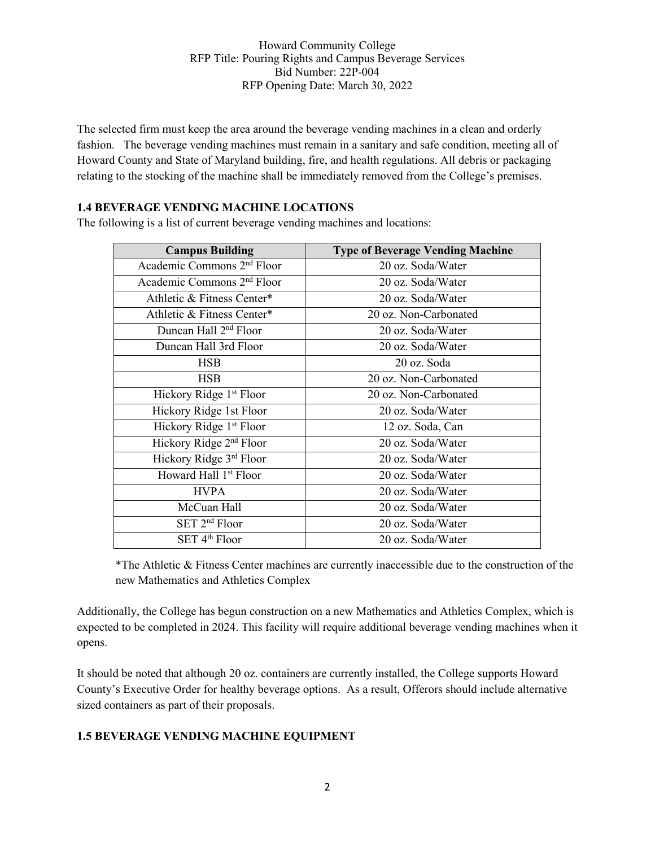The selected firm must keep the area around the beverage vending machines in a clean and orderly fashion. The beverage vending machines must remain in a sanitary and safe condition, meeting all of Howard County and State of Maryland building, fire, and health regulations. All debris or packaging relating to the stocking of the machine shall be immediately removed from the College's premises.

#### **1.4 BEVERAGE VENDING MACHINE LOCATIONS**

The following is a list of current beverage vending machines and locations:

| <b>Campus Building</b>                 | <b>Type of Beverage Vending Machine</b> |
|----------------------------------------|-----------------------------------------|
| Academic Commons 2 <sup>nd</sup> Floor | 20 oz. Soda/Water                       |
| Academic Commons 2 <sup>nd</sup> Floor | 20 oz. Soda/Water                       |
| Athletic & Fitness Center*             | 20 oz. Soda/Water                       |
| Athletic & Fitness Center*             | 20 oz. Non-Carbonated                   |
| Duncan Hall 2 <sup>nd</sup> Floor      | 20 oz. Soda/Water                       |
| Duncan Hall 3rd Floor                  | 20 oz. Soda/Water                       |
| <b>HSB</b>                             | 20 oz. Soda                             |
| <b>HSB</b>                             | 20 oz. Non-Carbonated                   |
| Hickory Ridge 1 <sup>st</sup> Floor    | 20 oz. Non-Carbonated                   |
| Hickory Ridge 1st Floor                | 20 oz. Soda/Water                       |
| Hickory Ridge 1 <sup>st</sup> Floor    | 12 oz. Soda, Can                        |
| Hickory Ridge 2 <sup>nd</sup> Floor    | 20 oz. Soda/Water                       |
| Hickory Ridge 3rd Floor                | 20 oz. Soda/Water                       |
| Howard Hall 1 <sup>st</sup> Floor      | 20 oz. Soda/Water                       |
| <b>HVPA</b>                            | 20 oz. Soda/Water                       |
| McCuan Hall                            | 20 oz. Soda/Water                       |
| SET 2 <sup>nd</sup> Floor              | 20 oz. Soda/Water                       |
| SET 4 <sup>th</sup> Floor              | 20 oz. Soda/Water                       |

\*The Athletic & Fitness Center machines are currently inaccessible due to the construction of the new Mathematics and Athletics Complex

Additionally, the College has begun construction on a new Mathematics and Athletics Complex, which is expected to be completed in 2024. This facility will require additional beverage vending machines when it opens.

It should be noted that although 20 oz. containers are currently installed, the College supports Howard County's Executive Order for healthy beverage options. As a result, Offerors should include alternative sized containers as part of their proposals.

## **1.5 BEVERAGE VENDING MACHINE EQUIPMENT**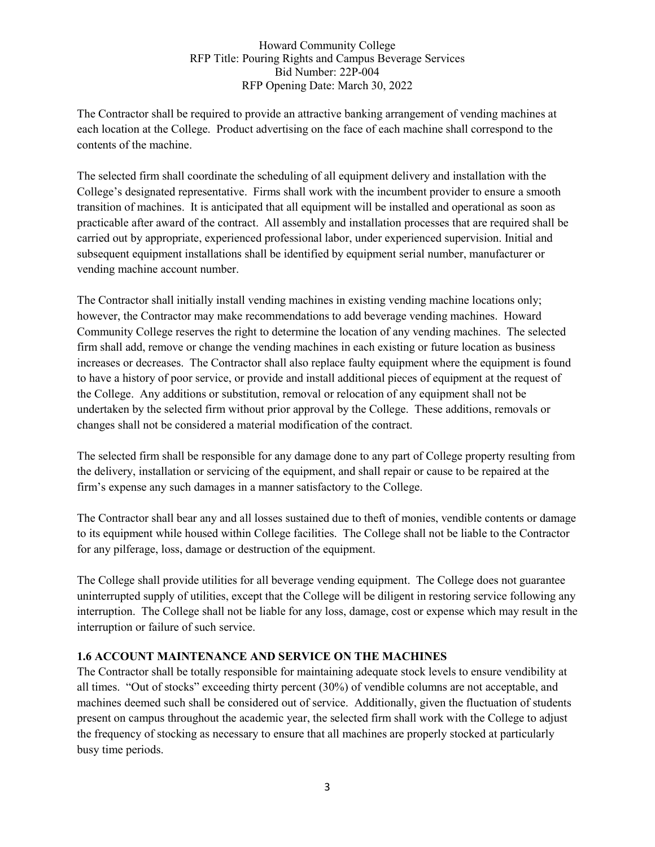The Contractor shall be required to provide an attractive banking arrangement of vending machines at each location at the College. Product advertising on the face of each machine shall correspond to the contents of the machine.

The selected firm shall coordinate the scheduling of all equipment delivery and installation with the College's designated representative. Firms shall work with the incumbent provider to ensure a smooth transition of machines. It is anticipated that all equipment will be installed and operational as soon as practicable after award of the contract. All assembly and installation processes that are required shall be carried out by appropriate, experienced professional labor, under experienced supervision. Initial and subsequent equipment installations shall be identified by equipment serial number, manufacturer or vending machine account number.

The Contractor shall initially install vending machines in existing vending machine locations only; however, the Contractor may make recommendations to add beverage vending machines. Howard Community College reserves the right to determine the location of any vending machines. The selected firm shall add, remove or change the vending machines in each existing or future location as business increases or decreases. The Contractor shall also replace faulty equipment where the equipment is found to have a history of poor service, or provide and install additional pieces of equipment at the request of the College. Any additions or substitution, removal or relocation of any equipment shall not be undertaken by the selected firm without prior approval by the College. These additions, removals or changes shall not be considered a material modification of the contract.

The selected firm shall be responsible for any damage done to any part of College property resulting from the delivery, installation or servicing of the equipment, and shall repair or cause to be repaired at the firm's expense any such damages in a manner satisfactory to the College.

The Contractor shall bear any and all losses sustained due to theft of monies, vendible contents or damage to its equipment while housed within College facilities. The College shall not be liable to the Contractor for any pilferage, loss, damage or destruction of the equipment.

The College shall provide utilities for all beverage vending equipment. The College does not guarantee uninterrupted supply of utilities, except that the College will be diligent in restoring service following any interruption. The College shall not be liable for any loss, damage, cost or expense which may result in the interruption or failure of such service.

## **1.6 ACCOUNT MAINTENANCE AND SERVICE ON THE MACHINES**

The Contractor shall be totally responsible for maintaining adequate stock levels to ensure vendibility at all times. "Out of stocks" exceeding thirty percent (30%) of vendible columns are not acceptable, and machines deemed such shall be considered out of service. Additionally, given the fluctuation of students present on campus throughout the academic year, the selected firm shall work with the College to adjust the frequency of stocking as necessary to ensure that all machines are properly stocked at particularly busy time periods.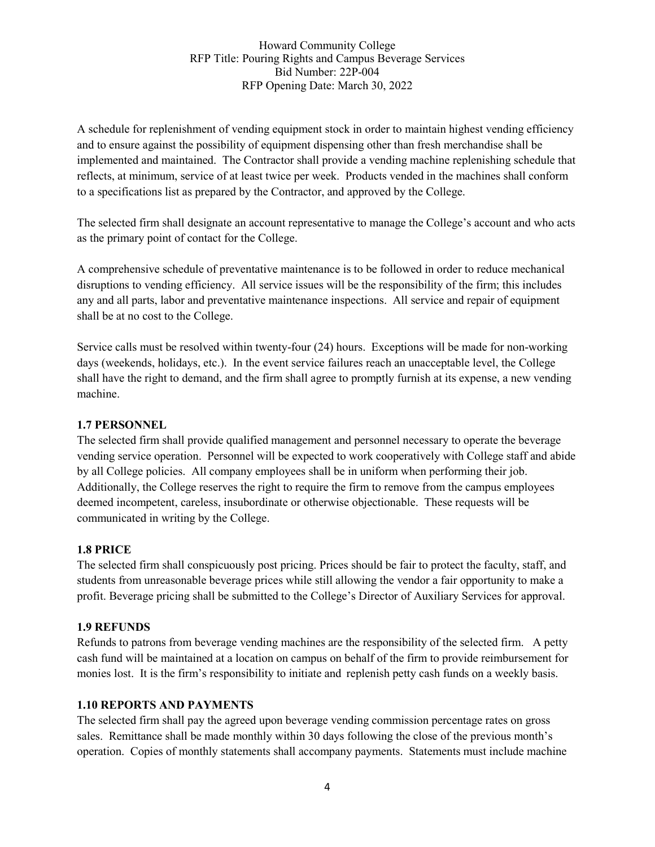A schedule for replenishment of vending equipment stock in order to maintain highest vending efficiency and to ensure against the possibility of equipment dispensing other than fresh merchandise shall be implemented and maintained. The Contractor shall provide a vending machine replenishing schedule that reflects, at minimum, service of at least twice per week. Products vended in the machines shall conform to a specifications list as prepared by the Contractor, and approved by the College.

The selected firm shall designate an account representative to manage the College's account and who acts as the primary point of contact for the College.

A comprehensive schedule of preventative maintenance is to be followed in order to reduce mechanical disruptions to vending efficiency. All service issues will be the responsibility of the firm; this includes any and all parts, labor and preventative maintenance inspections. All service and repair of equipment shall be at no cost to the College.

Service calls must be resolved within twenty-four (24) hours. Exceptions will be made for non-working days (weekends, holidays, etc.). In the event service failures reach an unacceptable level, the College shall have the right to demand, and the firm shall agree to promptly furnish at its expense, a new vending machine.

#### **1.7 PERSONNEL**

The selected firm shall provide qualified management and personnel necessary to operate the beverage vending service operation. Personnel will be expected to work cooperatively with College staff and abide by all College policies. All company employees shall be in uniform when performing their job. Additionally, the College reserves the right to require the firm to remove from the campus employees deemed incompetent, careless, insubordinate or otherwise objectionable. These requests will be communicated in writing by the College.

## **1.8 PRICE**

The selected firm shall conspicuously post pricing. Prices should be fair to protect the faculty, staff, and students from unreasonable beverage prices while still allowing the vendor a fair opportunity to make a profit. Beverage pricing shall be submitted to the College's Director of Auxiliary Services for approval.

#### **1.9 REFUNDS**

Refunds to patrons from beverage vending machines are the responsibility of the selected firm. A petty cash fund will be maintained at a location on campus on behalf of the firm to provide reimbursement for monies lost. It is the firm's responsibility to initiate and replenish petty cash funds on a weekly basis.

#### **1.10 REPORTS AND PAYMENTS**

The selected firm shall pay the agreed upon beverage vending commission percentage rates on gross sales. Remittance shall be made monthly within 30 days following the close of the previous month's operation. Copies of monthly statements shall accompany payments. Statements must include machine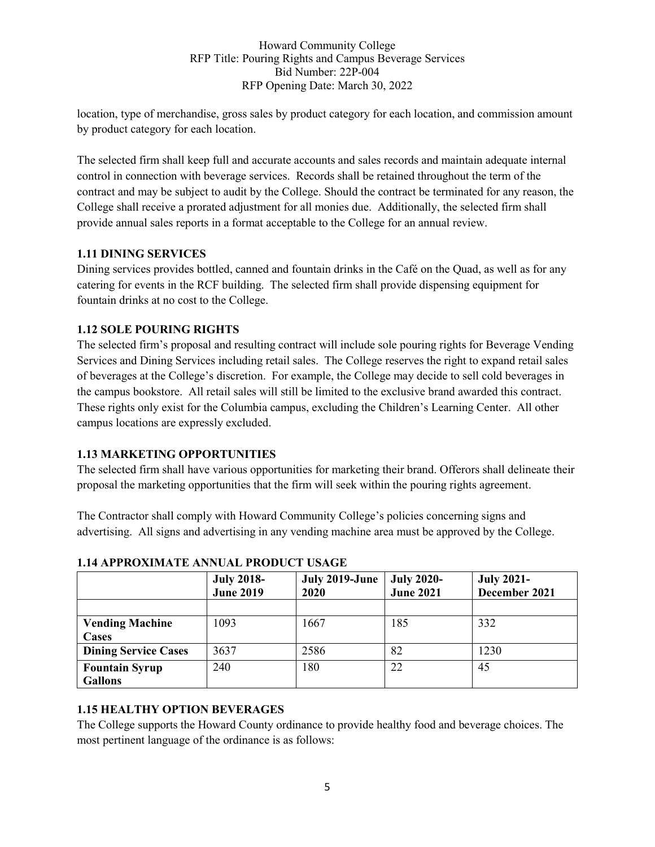location, type of merchandise, gross sales by product category for each location, and commission amount by product category for each location.

The selected firm shall keep full and accurate accounts and sales records and maintain adequate internal control in connection with beverage services. Records shall be retained throughout the term of the contract and may be subject to audit by the College. Should the contract be terminated for any reason, the College shall receive a prorated adjustment for all monies due. Additionally, the selected firm shall provide annual sales reports in a format acceptable to the College for an annual review.

#### **1.11 DINING SERVICES**

Dining services provides bottled, canned and fountain drinks in the Café on the Quad, as well as for any catering for events in the RCF building. The selected firm shall provide dispensing equipment for fountain drinks at no cost to the College.

## **1.12 SOLE POURING RIGHTS**

The selected firm's proposal and resulting contract will include sole pouring rights for Beverage Vending Services and Dining Services including retail sales. The College reserves the right to expand retail sales of beverages at the College's discretion. For example, the College may decide to sell cold beverages in the campus bookstore. All retail sales will still be limited to the exclusive brand awarded this contract. These rights only exist for the Columbia campus, excluding the Children's Learning Center. All other campus locations are expressly excluded.

## **1.13 MARKETING OPPORTUNITIES**

The selected firm shall have various opportunities for marketing their brand. Offerors shall delineate their proposal the marketing opportunities that the firm will seek within the pouring rights agreement.

The Contractor shall comply with Howard Community College's policies concerning signs and advertising. All signs and advertising in any vending machine area must be approved by the College.

|                             | <b>July 2018-</b><br><b>June 2019</b> | July 2019-June<br><b>2020</b> | <b>July 2020-</b><br><b>June 2021</b> | <b>July 2021-</b><br>December 2021 |
|-----------------------------|---------------------------------------|-------------------------------|---------------------------------------|------------------------------------|
|                             |                                       |                               |                                       |                                    |
| <b>Vending Machine</b>      | 1093                                  | 1667                          | 185                                   | 332                                |
| <b>Cases</b>                |                                       |                               |                                       |                                    |
| <b>Dining Service Cases</b> | 3637                                  | 2586                          | 82                                    | 1230                               |
| <b>Fountain Syrup</b>       | 240                                   | 180                           | 22                                    | 45                                 |
| <b>Gallons</b>              |                                       |                               |                                       |                                    |

## **1.14 APPROXIMATE ANNUAL PRODUCT USAGE**

## **1.15 HEALTHY OPTION BEVERAGES**

The College supports the Howard County ordinance to provide healthy food and beverage choices. The most pertinent language of the ordinance is as follows: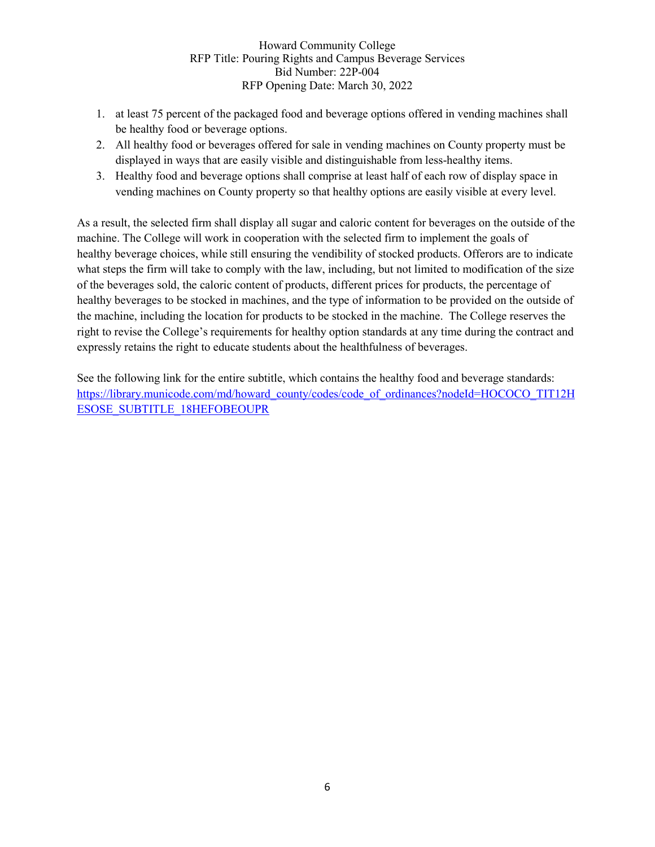- 1. at least 75 percent of the packaged food and beverage options offered in vending machines shall be healthy food or beverage options.
- 2. All healthy food or beverages offered for sale in vending machines on County property must be displayed in ways that are easily visible and distinguishable from less-healthy items.
- 3. Healthy food and beverage options shall comprise at least half of each row of display space in vending machines on County property so that healthy options are easily visible at every level.

As a result, the selected firm shall display all sugar and caloric content for beverages on the outside of the machine. The College will work in cooperation with the selected firm to implement the goals of healthy beverage choices, while still ensuring the vendibility of stocked products. Offerors are to indicate what steps the firm will take to comply with the law, including, but not limited to modification of the size of the beverages sold, the caloric content of products, different prices for products, the percentage of healthy beverages to be stocked in machines, and the type of information to be provided on the outside of the machine, including the location for products to be stocked in the machine. The College reserves the right to revise the College's requirements for healthy option standards at any time during the contract and expressly retains the right to educate students about the healthfulness of beverages.

See the following link for the entire subtitle, which contains the healthy food and beverage standards: [https://library.municode.com/md/howard\\_county/codes/code\\_of\\_ordinances?nodeId=HOCOCO\\_TIT12H](https://nam12.safelinks.protection.outlook.com/?url=https%3A%2F%2Flibrary.municode.com%2Fmd%2Fhoward_county%2Fcodes%2Fcode_of_ordinances%3FnodeId%3DHOCOCO_TIT12HESOSE_SUBTITLE_18HEFOBEOUPR&data=04%7C01%7Cdcusimano%40howardcc.edu%7Cfe9a6e6e8b2e4120a2ff08da01eb68b6%7C6307de3c3f084db3922aeddb9fd2098f%7C0%7C0%7C637824407833430167%7CUnknown%7CTWFpbGZsb3d8eyJWIjoiMC4wLjAwMDAiLCJQIjoiV2luMzIiLCJBTiI6Ik1haWwiLCJXVCI6Mn0%3D%7C3000&sdata=%2BnDMRpFC04DdtHVsk6tL9I249xaVMbg7mUFugR%2BnY1g%3D&reserved=0) [ESOSE\\_SUBTITLE\\_18HEFOBEOUPR](https://nam12.safelinks.protection.outlook.com/?url=https%3A%2F%2Flibrary.municode.com%2Fmd%2Fhoward_county%2Fcodes%2Fcode_of_ordinances%3FnodeId%3DHOCOCO_TIT12HESOSE_SUBTITLE_18HEFOBEOUPR&data=04%7C01%7Cdcusimano%40howardcc.edu%7Cfe9a6e6e8b2e4120a2ff08da01eb68b6%7C6307de3c3f084db3922aeddb9fd2098f%7C0%7C0%7C637824407833430167%7CUnknown%7CTWFpbGZsb3d8eyJWIjoiMC4wLjAwMDAiLCJQIjoiV2luMzIiLCJBTiI6Ik1haWwiLCJXVCI6Mn0%3D%7C3000&sdata=%2BnDMRpFC04DdtHVsk6tL9I249xaVMbg7mUFugR%2BnY1g%3D&reserved=0)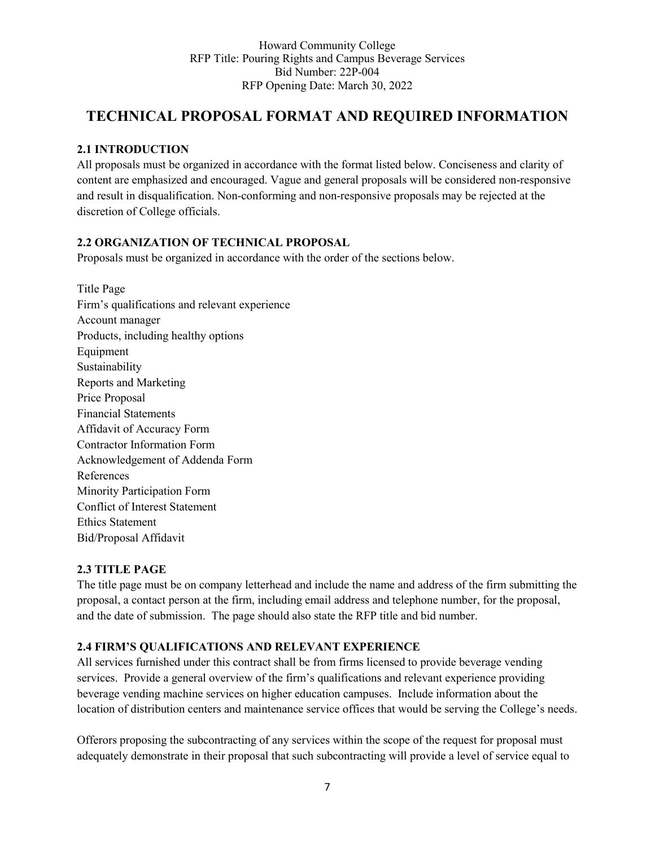# **TECHNICAL PROPOSAL FORMAT AND REQUIRED INFORMATION**

## **2.1 INTRODUCTION**

All proposals must be organized in accordance with the format listed below. Conciseness and clarity of content are emphasized and encouraged. Vague and general proposals will be considered non-responsive and result in disqualification. Non-conforming and non-responsive proposals may be rejected at the discretion of College officials.

## **2.2 ORGANIZATION OF TECHNICAL PROPOSAL**

Proposals must be organized in accordance with the order of the sections below.

Title Page Firm's qualifications and relevant experience Account manager Products, including healthy options Equipment Sustainability Reports and Marketing Price Proposal Financial Statements Affidavit of Accuracy Form Contractor Information Form Acknowledgement of Addenda Form References Minority Participation Form Conflict of Interest Statement Ethics Statement Bid/Proposal Affidavit

## **2.3 TITLE PAGE**

The title page must be on company letterhead and include the name and address of the firm submitting the proposal, a contact person at the firm, including email address and telephone number, for the proposal, and the date of submission. The page should also state the RFP title and bid number.

## **2.4 FIRM'S QUALIFICATIONS AND RELEVANT EXPERIENCE**

All services furnished under this contract shall be from firms licensed to provide beverage vending services. Provide a general overview of the firm's qualifications and relevant experience providing beverage vending machine services on higher education campuses. Include information about the location of distribution centers and maintenance service offices that would be serving the College's needs.

Offerors proposing the subcontracting of any services within the scope of the request for proposal must adequately demonstrate in their proposal that such subcontracting will provide a level of service equal to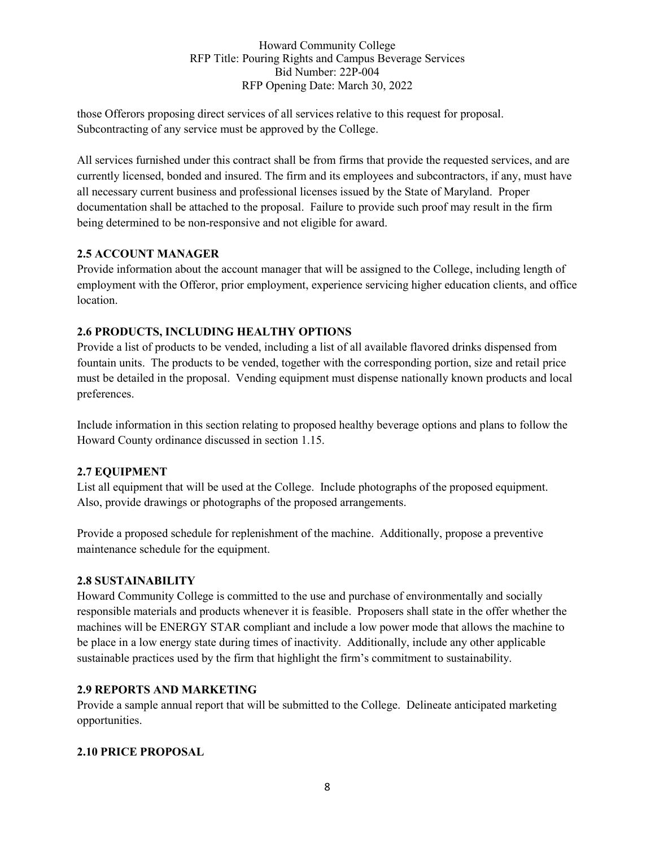those Offerors proposing direct services of all services relative to this request for proposal. Subcontracting of any service must be approved by the College.

All services furnished under this contract shall be from firms that provide the requested services, and are currently licensed, bonded and insured. The firm and its employees and subcontractors, if any, must have all necessary current business and professional licenses issued by the State of Maryland. Proper documentation shall be attached to the proposal. Failure to provide such proof may result in the firm being determined to be non-responsive and not eligible for award.

#### **2.5 ACCOUNT MANAGER**

Provide information about the account manager that will be assigned to the College, including length of employment with the Offeror, prior employment, experience servicing higher education clients, and office location.

## **2.6 PRODUCTS, INCLUDING HEALTHY OPTIONS**

Provide a list of products to be vended, including a list of all available flavored drinks dispensed from fountain units. The products to be vended, together with the corresponding portion, size and retail price must be detailed in the proposal. Vending equipment must dispense nationally known products and local preferences.

Include information in this section relating to proposed healthy beverage options and plans to follow the Howard County ordinance discussed in section 1.15.

## **2.7 EQUIPMENT**

List all equipment that will be used at the College. Include photographs of the proposed equipment. Also, provide drawings or photographs of the proposed arrangements.

Provide a proposed schedule for replenishment of the machine. Additionally, propose a preventive maintenance schedule for the equipment.

## **2.8 SUSTAINABILITY**

Howard Community College is committed to the use and purchase of environmentally and socially responsible materials and products whenever it is feasible. Proposers shall state in the offer whether the machines will be ENERGY STAR compliant and include a low power mode that allows the machine to be place in a low energy state during times of inactivity. Additionally, include any other applicable sustainable practices used by the firm that highlight the firm's commitment to sustainability.

#### **2.9 REPORTS AND MARKETING**

Provide a sample annual report that will be submitted to the College. Delineate anticipated marketing opportunities.

## **2.10 PRICE PROPOSAL**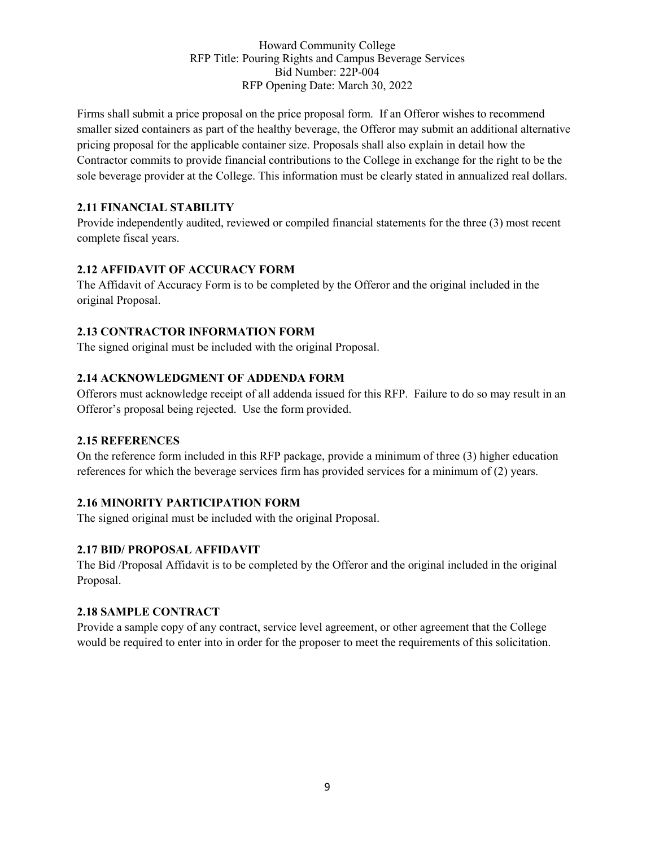Firms shall submit a price proposal on the price proposal form. If an Offeror wishes to recommend smaller sized containers as part of the healthy beverage, the Offeror may submit an additional alternative pricing proposal for the applicable container size. Proposals shall also explain in detail how the Contractor commits to provide financial contributions to the College in exchange for the right to be the sole beverage provider at the College. This information must be clearly stated in annualized real dollars.

## **2.11 FINANCIAL STABILITY**

Provide independently audited, reviewed or compiled financial statements for the three (3) most recent complete fiscal years.

## **2.12 AFFIDAVIT OF ACCURACY FORM**

The Affidavit of Accuracy Form is to be completed by the Offeror and the original included in the original Proposal.

## **2.13 CONTRACTOR INFORMATION FORM**

The signed original must be included with the original Proposal.

#### **2.14 ACKNOWLEDGMENT OF ADDENDA FORM**

Offerors must acknowledge receipt of all addenda issued for this RFP. Failure to do so may result in an Offeror's proposal being rejected. Use the form provided.

#### **2.15 REFERENCES**

On the reference form included in this RFP package, provide a minimum of three (3) higher education references for which the beverage services firm has provided services for a minimum of (2) years.

## **2.16 MINORITY PARTICIPATION FORM**

The signed original must be included with the original Proposal.

## **2.17 BID/ PROPOSAL AFFIDAVIT**

The Bid /Proposal Affidavit is to be completed by the Offeror and the original included in the original Proposal.

#### **2.18 SAMPLE CONTRACT**

Provide a sample copy of any contract, service level agreement, or other agreement that the College would be required to enter into in order for the proposer to meet the requirements of this solicitation.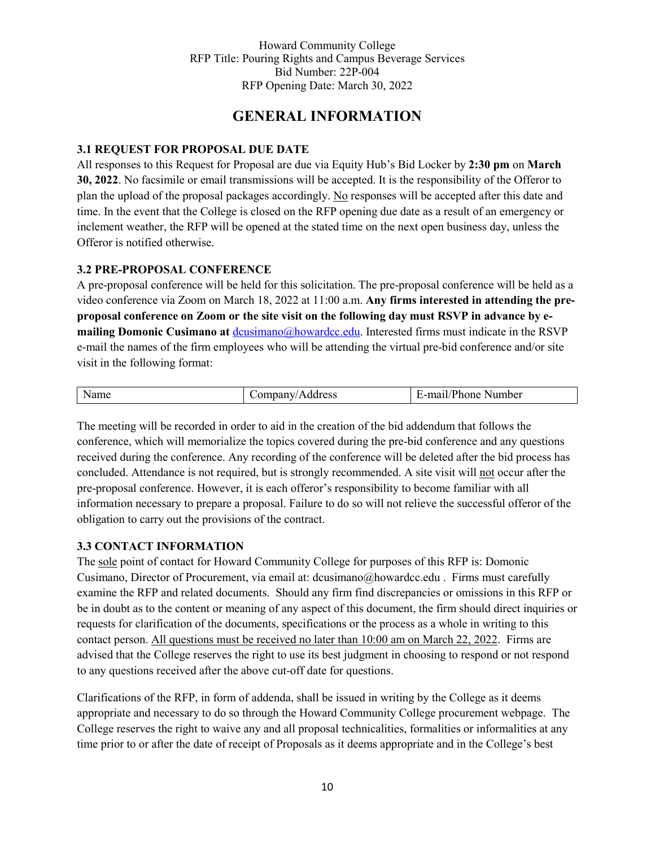# **GENERAL INFORMATION**

#### **3.1 REQUEST FOR PROPOSAL DUE DATE**

All responses to this Request for Proposal are due via Equity Hub's Bid Locker by **2:30 pm** on **March 30, 2022**. No facsimile or email transmissions will be accepted. It is the responsibility of the Offeror to plan the upload of the proposal packages accordingly. No responses will be accepted after this date and time. In the event that the College is closed on the RFP opening due date as a result of an emergency or inclement weather, the RFP will be opened at the stated time on the next open business day, unless the Offeror is notified otherwise.

#### **3.2 PRE-PROPOSAL CONFERENCE**

A pre-proposal conference will be held for this solicitation. The pre-proposal conference will be held as a video conference via Zoom on March 18, 2022 at 11:00 a.m. **Any firms interested in attending the preproposal conference on Zoom or the site visit on the following day must RSVP in advance by emailing Domonic Cusimano at** [dcusimano@howardcc.edu.](mailto:dcusimano@howardcc.edu) Interested firms must indicate in the RSVP e-mail the names of the firm employees who will be attending the virtual pre-bid conference and/or site visit in the following format:

| <b>N</b> Ndmc | ddress<br>чвану.<br>∼ | $\sqrt{2}$<br>Number<br>ma01<br>. .<br>none,<br>11 L |
|---------------|-----------------------|------------------------------------------------------|

The meeting will be recorded in order to aid in the creation of the bid addendum that follows the conference, which will memorialize the topics covered during the pre-bid conference and any questions received during the conference. Any recording of the conference will be deleted after the bid process has concluded. Attendance is not required, but is strongly recommended. A site visit will not occur after the pre-proposal conference. However, it is each offeror's responsibility to become familiar with all information necessary to prepare a proposal. Failure to do so will not relieve the successful offeror of the obligation to carry out the provisions of the contract.

## **3.3 CONTACT INFORMATION**

The sole point of contact for Howard Community College for purposes of this RFP is: Domonic Cusimano, Director of Procurement, via email at: [dcusimano@howardcc.edu](mailto:dcusimano@howardcc.edu) . Firms must carefully examine the RFP and related documents. Should any firm find discrepancies or omissions in this RFP or be in doubt as to the content or meaning of any aspect of this document, the firm should direct inquiries or requests for clarification of the documents, specifications or the process as a whole in writing to this contact person. All questions must be received no later than 10:00 am on March 22, 2022. Firms are advised that the College reserves the right to use its best judgment in choosing to respond or not respond to any questions received after the above cut-off date for questions.

Clarifications of the RFP, in form of addenda, shall be issued in writing by the College as it deems appropriate and necessary to do so through the Howard Community College procurement webpage. The College reserves the right to waive any and all proposal technicalities, formalities or informalities at any time prior to or after the date of receipt of Proposals as it deems appropriate and in the College's best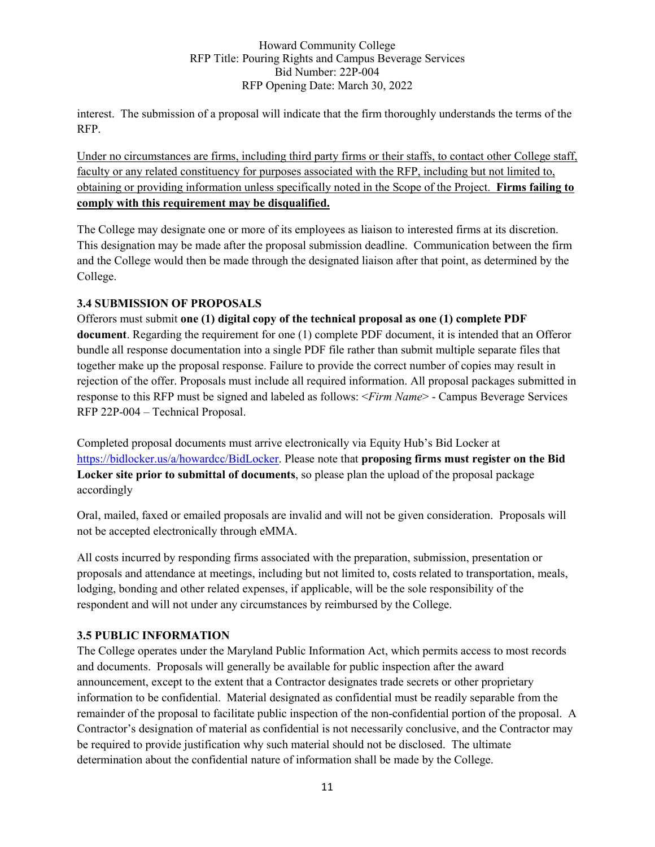interest. The submission of a proposal will indicate that the firm thoroughly understands the terms of the RFP.

Under no circumstances are firms, including third party firms or their staffs, to contact other College staff, faculty or any related constituency for purposes associated with the RFP, including but not limited to, obtaining or providing information unless specifically noted in the Scope of the Project. **Firms failing to comply with this requirement may be disqualified.**

The College may designate one or more of its employees as liaison to interested firms at its discretion. This designation may be made after the proposal submission deadline. Communication between the firm and the College would then be made through the designated liaison after that point, as determined by the College.

## **3.4 SUBMISSION OF PROPOSALS**

Offerors must submit **one (1) digital copy of the technical proposal as one (1) complete PDF document**. Regarding the requirement for one (1) complete PDF document, it is intended that an Offeror bundle all response documentation into a single PDF file rather than submit multiple separate files that together make up the proposal response. Failure to provide the correct number of copies may result in rejection of the offer. Proposals must include all required information. All proposal packages submitted in response to this RFP must be signed and labeled as follows: <*Firm Name*> - Campus Beverage Services RFP 22P-004 – Technical Proposal.

Completed proposal documents must arrive electronically via Equity Hub's Bid Locker at [https://bidlocker.us/a/howardcc/BidLocker.](https://bidlocker.us/a/howardcc/BidLocker) Please note that **proposing firms must register on the Bid Locker site prior to submittal of documents**, so please plan the upload of the proposal package accordingly

Oral, mailed, faxed or emailed proposals are invalid and will not be given consideration. Proposals will not be accepted electronically through eMMA.

All costs incurred by responding firms associated with the preparation, submission, presentation or proposals and attendance at meetings, including but not limited to, costs related to transportation, meals, lodging, bonding and other related expenses, if applicable, will be the sole responsibility of the respondent and will not under any circumstances by reimbursed by the College.

## **3.5 PUBLIC INFORMATION**

The College operates under the Maryland Public Information Act, which permits access to most records and documents. Proposals will generally be available for public inspection after the award announcement, except to the extent that a Contractor designates trade secrets or other proprietary information to be confidential. Material designated as confidential must be readily separable from the remainder of the proposal to facilitate public inspection of the non-confidential portion of the proposal. A Contractor's designation of material as confidential is not necessarily conclusive, and the Contractor may be required to provide justification why such material should not be disclosed. The ultimate determination about the confidential nature of information shall be made by the College.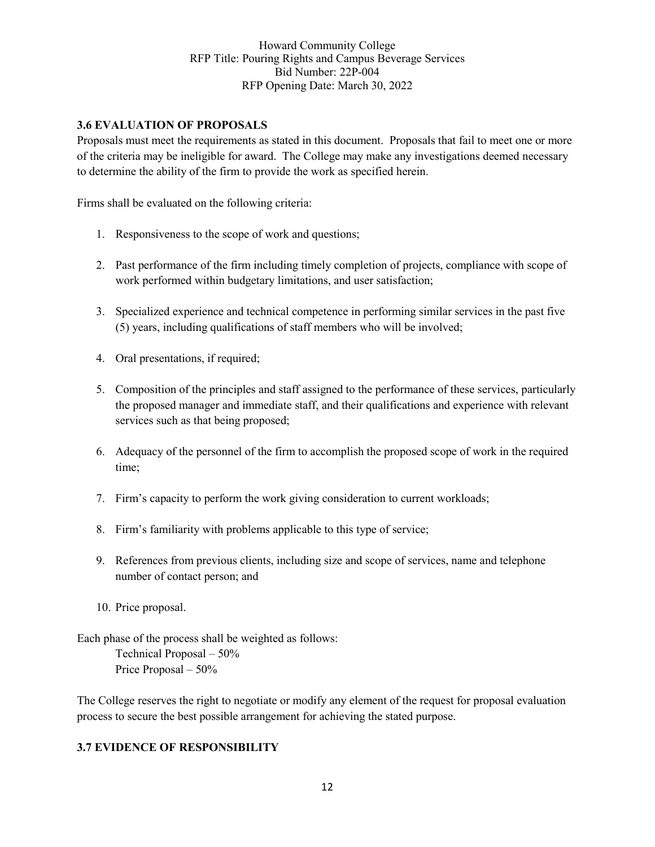#### **3.6 EVALUATION OF PROPOSALS**

Proposals must meet the requirements as stated in this document. Proposals that fail to meet one or more of the criteria may be ineligible for award. The College may make any investigations deemed necessary to determine the ability of the firm to provide the work as specified herein.

Firms shall be evaluated on the following criteria:

- 1. Responsiveness to the scope of work and questions;
- 2. Past performance of the firm including timely completion of projects, compliance with scope of work performed within budgetary limitations, and user satisfaction;
- 3. Specialized experience and technical competence in performing similar services in the past five (5) years, including qualifications of staff members who will be involved;
- 4. Oral presentations, if required;
- 5. Composition of the principles and staff assigned to the performance of these services, particularly the proposed manager and immediate staff, and their qualifications and experience with relevant services such as that being proposed;
- 6. Adequacy of the personnel of the firm to accomplish the proposed scope of work in the required time;
- 7. Firm's capacity to perform the work giving consideration to current workloads;
- 8. Firm's familiarity with problems applicable to this type of service;
- 9. References from previous clients, including size and scope of services, name and telephone number of contact person; and
- 10. Price proposal.

Each phase of the process shall be weighted as follows: Technical Proposal – 50% Price Proposal – 50%

The College reserves the right to negotiate or modify any element of the request for proposal evaluation process to secure the best possible arrangement for achieving the stated purpose.

#### **3.7 EVIDENCE OF RESPONSIBILITY**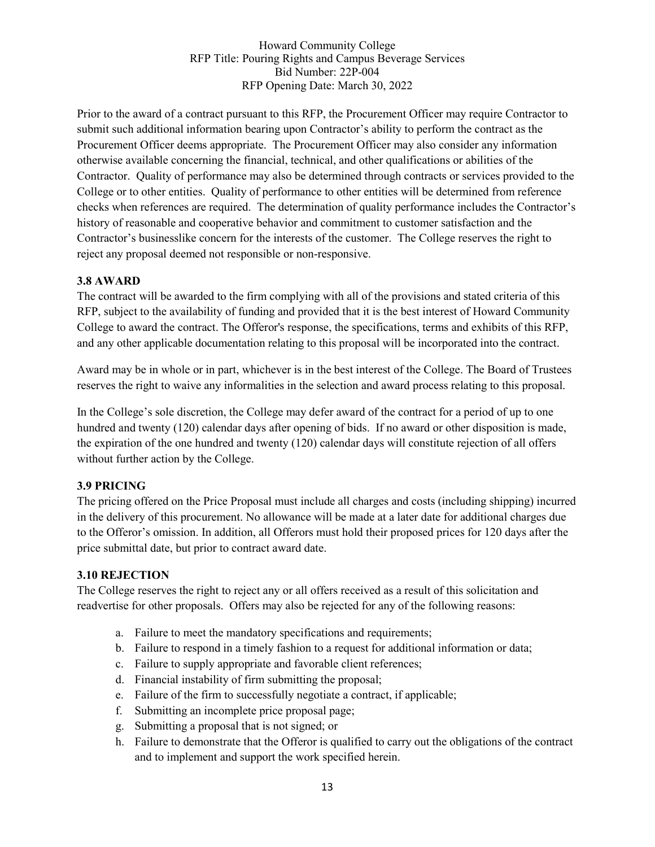Prior to the award of a contract pursuant to this RFP, the Procurement Officer may require Contractor to submit such additional information bearing upon Contractor's ability to perform the contract as the Procurement Officer deems appropriate. The Procurement Officer may also consider any information otherwise available concerning the financial, technical, and other qualifications or abilities of the Contractor. Quality of performance may also be determined through contracts or services provided to the College or to other entities. Quality of performance to other entities will be determined from reference checks when references are required. The determination of quality performance includes the Contractor's history of reasonable and cooperative behavior and commitment to customer satisfaction and the Contractor's businesslike concern for the interests of the customer. The College reserves the right to reject any proposal deemed not responsible or non-responsive.

#### **3.8 AWARD**

The contract will be awarded to the firm complying with all of the provisions and stated criteria of this RFP, subject to the availability of funding and provided that it is the best interest of Howard Community College to award the contract. The Offeror's response, the specifications, terms and exhibits of this RFP, and any other applicable documentation relating to this proposal will be incorporated into the contract.

Award may be in whole or in part, whichever is in the best interest of the College. The Board of Trustees reserves the right to waive any informalities in the selection and award process relating to this proposal.

In the College's sole discretion, the College may defer award of the contract for a period of up to one hundred and twenty (120) calendar days after opening of bids. If no award or other disposition is made, the expiration of the one hundred and twenty (120) calendar days will constitute rejection of all offers without further action by the College.

#### **3.9 PRICING**

The pricing offered on the Price Proposal must include all charges and costs (including shipping) incurred in the delivery of this procurement. No allowance will be made at a later date for additional charges due to the Offeror's omission. In addition, all Offerors must hold their proposed prices for 120 days after the price submittal date, but prior to contract award date.

#### **3.10 REJECTION**

The College reserves the right to reject any or all offers received as a result of this solicitation and readvertise for other proposals. Offers may also be rejected for any of the following reasons:

- a. Failure to meet the mandatory specifications and requirements;
- b. Failure to respond in a timely fashion to a request for additional information or data;
- c. Failure to supply appropriate and favorable client references;
- d. Financial instability of firm submitting the proposal;
- e. Failure of the firm to successfully negotiate a contract, if applicable;
- f. Submitting an incomplete price proposal page;
- g. Submitting a proposal that is not signed; or
- h. Failure to demonstrate that the Offeror is qualified to carry out the obligations of the contract and to implement and support the work specified herein.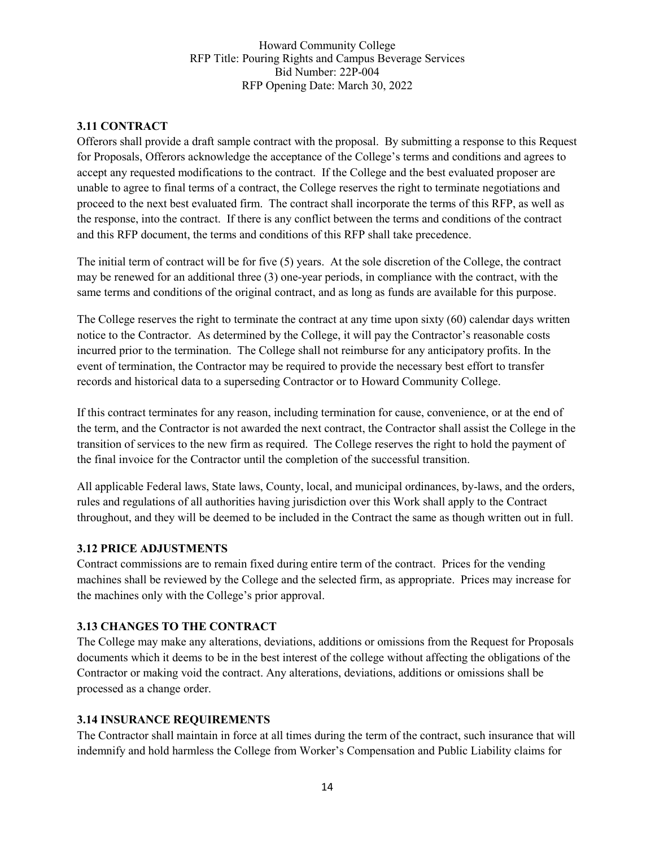#### **3.11 CONTRACT**

Offerors shall provide a draft sample contract with the proposal. By submitting a response to this Request for Proposals, Offerors acknowledge the acceptance of the College's terms and conditions and agrees to accept any requested modifications to the contract. If the College and the best evaluated proposer are unable to agree to final terms of a contract, the College reserves the right to terminate negotiations and proceed to the next best evaluated firm. The contract shall incorporate the terms of this RFP, as well as the response, into the contract. If there is any conflict between the terms and conditions of the contract and this RFP document, the terms and conditions of this RFP shall take precedence.

The initial term of contract will be for five (5) years. At the sole discretion of the College, the contract may be renewed for an additional three (3) one-year periods, in compliance with the contract, with the same terms and conditions of the original contract, and as long as funds are available for this purpose.

The College reserves the right to terminate the contract at any time upon sixty (60) calendar days written notice to the Contractor. As determined by the College, it will pay the Contractor's reasonable costs incurred prior to the termination. The College shall not reimburse for any anticipatory profits. In the event of termination, the Contractor may be required to provide the necessary best effort to transfer records and historical data to a superseding Contractor or to Howard Community College.

If this contract terminates for any reason, including termination for cause, convenience, or at the end of the term, and the Contractor is not awarded the next contract, the Contractor shall assist the College in the transition of services to the new firm as required. The College reserves the right to hold the payment of the final invoice for the Contractor until the completion of the successful transition.

All applicable Federal laws, State laws, County, local, and municipal ordinances, by-laws, and the orders, rules and regulations of all authorities having jurisdiction over this Work shall apply to the Contract throughout, and they will be deemed to be included in the Contract the same as though written out in full.

#### **3.12 PRICE ADJUSTMENTS**

Contract commissions are to remain fixed during entire term of the contract. Prices for the vending machines shall be reviewed by the College and the selected firm, as appropriate. Prices may increase for the machines only with the College's prior approval.

## **3.13 CHANGES TO THE CONTRACT**

The College may make any alterations, deviations, additions or omissions from the Request for Proposals documents which it deems to be in the best interest of the college without affecting the obligations of the Contractor or making void the contract. Any alterations, deviations, additions or omissions shall be processed as a change order.

#### **3.14 INSURANCE REQUIREMENTS**

The Contractor shall maintain in force at all times during the term of the contract, such insurance that will indemnify and hold harmless the College from Worker's Compensation and Public Liability claims for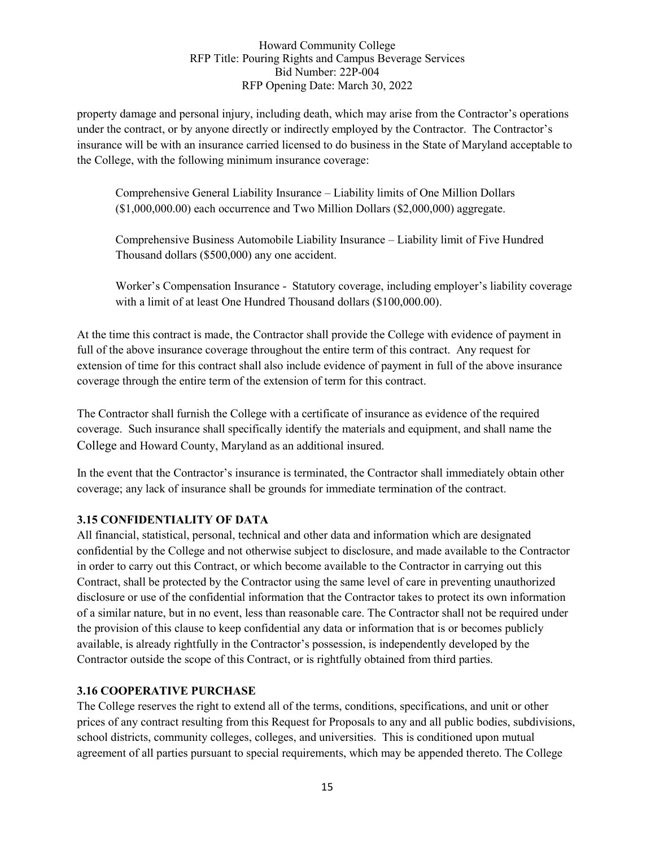property damage and personal injury, including death, which may arise from the Contractor's operations under the contract, or by anyone directly or indirectly employed by the Contractor. The Contractor's insurance will be with an insurance carried licensed to do business in the State of Maryland acceptable to the College, with the following minimum insurance coverage:

Comprehensive General Liability Insurance – Liability limits of One Million Dollars (\$1,000,000.00) each occurrence and Two Million Dollars (\$2,000,000) aggregate.

Comprehensive Business Automobile Liability Insurance – Liability limit of Five Hundred Thousand dollars (\$500,000) any one accident.

Worker's Compensation Insurance - Statutory coverage, including employer's liability coverage with a limit of at least One Hundred Thousand dollars (\$100,000.00).

At the time this contract is made, the Contractor shall provide the College with evidence of payment in full of the above insurance coverage throughout the entire term of this contract. Any request for extension of time for this contract shall also include evidence of payment in full of the above insurance coverage through the entire term of the extension of term for this contract.

The Contractor shall furnish the College with a certificate of insurance as evidence of the required coverage. Such insurance shall specifically identify the materials and equipment, and shall name the College and Howard County, Maryland as an additional insured.

In the event that the Contractor's insurance is terminated, the Contractor shall immediately obtain other coverage; any lack of insurance shall be grounds for immediate termination of the contract.

## **3.15 CONFIDENTIALITY OF DATA**

All financial, statistical, personal, technical and other data and information which are designated confidential by the College and not otherwise subject to disclosure, and made available to the Contractor in order to carry out this Contract, or which become available to the Contractor in carrying out this Contract, shall be protected by the Contractor using the same level of care in preventing unauthorized disclosure or use of the confidential information that the Contractor takes to protect its own information of a similar nature, but in no event, less than reasonable care. The Contractor shall not be required under the provision of this clause to keep confidential any data or information that is or becomes publicly available, is already rightfully in the Contractor's possession, is independently developed by the Contractor outside the scope of this Contract, or is rightfully obtained from third parties.

## **3.16 COOPERATIVE PURCHASE**

The College reserves the right to extend all of the terms, conditions, specifications, and unit or other prices of any contract resulting from this Request for Proposals to any and all public bodies, subdivisions, school districts, community colleges, colleges, and universities. This is conditioned upon mutual agreement of all parties pursuant to special requirements, which may be appended thereto. The College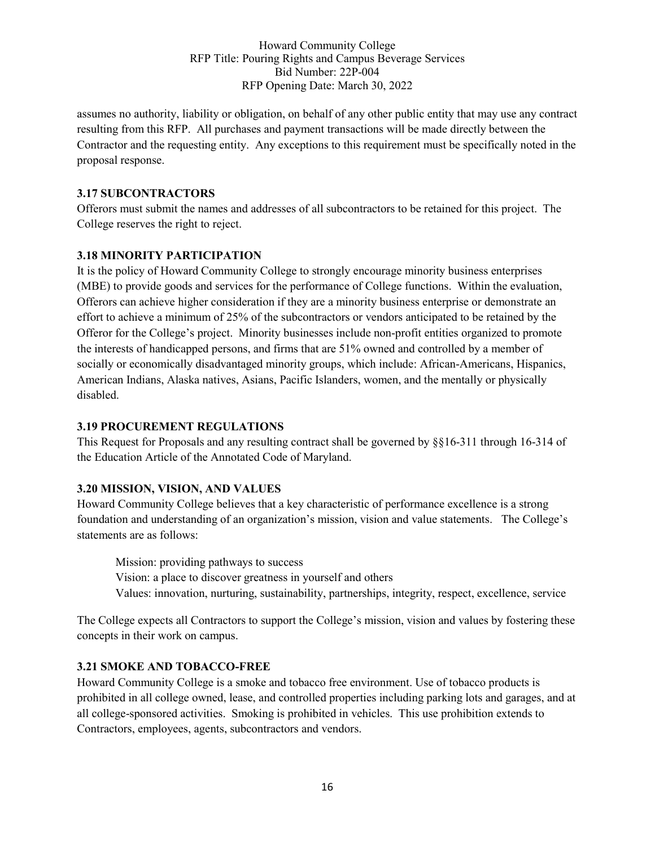assumes no authority, liability or obligation, on behalf of any other public entity that may use any contract resulting from this RFP. All purchases and payment transactions will be made directly between the Contractor and the requesting entity. Any exceptions to this requirement must be specifically noted in the proposal response.

## **3.17 SUBCONTRACTORS**

Offerors must submit the names and addresses of all subcontractors to be retained for this project. The College reserves the right to reject.

#### **3.18 MINORITY PARTICIPATION**

It is the policy of Howard Community College to strongly encourage minority business enterprises (MBE) to provide goods and services for the performance of College functions. Within the evaluation, Offerors can achieve higher consideration if they are a minority business enterprise or demonstrate an effort to achieve a minimum of 25% of the subcontractors or vendors anticipated to be retained by the Offeror for the College's project. Minority businesses include non-profit entities organized to promote the interests of handicapped persons, and firms that are 51% owned and controlled by a member of socially or economically disadvantaged minority groups, which include: African-Americans, Hispanics, American Indians, Alaska natives, Asians, Pacific Islanders, women, and the mentally or physically disabled.

#### **3.19 PROCUREMENT REGULATIONS**

This Request for Proposals and any resulting contract shall be governed by §§16-311 through 16-314 of the Education Article of the Annotated Code of Maryland.

## **3.20 MISSION, VISION, AND VALUES**

Howard Community College believes that a key characteristic of performance excellence is a strong foundation and understanding of an organization's mission, vision and value statements. The College's statements are as follows:

Mission: providing pathways to success Vision: a place to discover greatness in yourself and others Values: innovation, nurturing, sustainability, partnerships, integrity, respect, excellence, service

The College expects all Contractors to support the College's mission, vision and values by fostering these concepts in their work on campus.

#### **3.21 SMOKE AND TOBACCO-FREE**

Howard Community College is a smoke and tobacco free environment. Use of tobacco products is prohibited in all college owned, lease, and controlled properties including parking lots and garages, and at all college-sponsored activities. Smoking is prohibited in vehicles. This use prohibition extends to Contractors, employees, agents, subcontractors and vendors.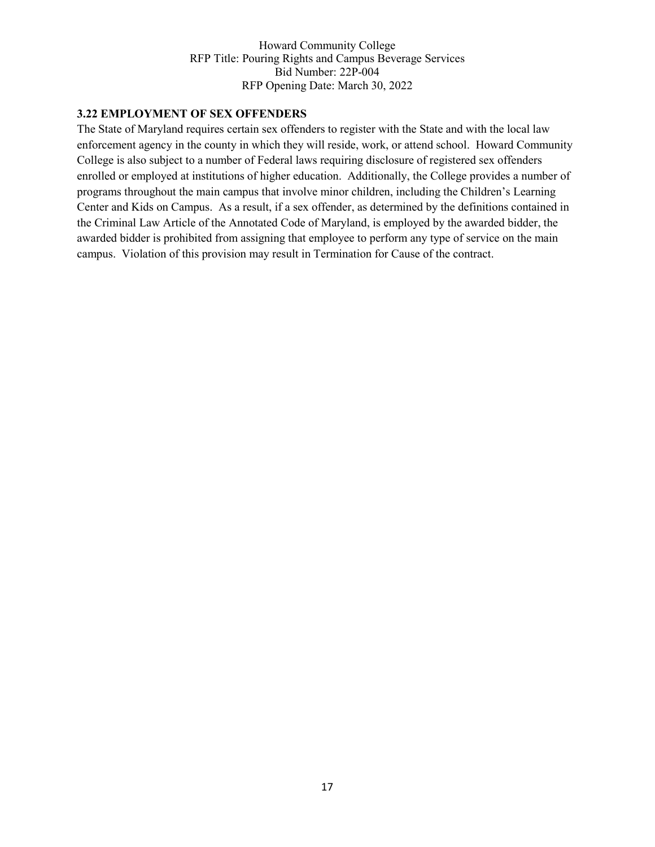#### **3.22 EMPLOYMENT OF SEX OFFENDERS**

The State of Maryland requires certain sex offenders to register with the State and with the local law enforcement agency in the county in which they will reside, work, or attend school. Howard Community College is also subject to a number of Federal laws requiring disclosure of registered sex offenders enrolled or employed at institutions of higher education. Additionally, the College provides a number of programs throughout the main campus that involve minor children, including the Children's Learning Center and Kids on Campus. As a result, if a sex offender, as determined by the definitions contained in the Criminal Law Article of the Annotated Code of Maryland, is employed by the awarded bidder, the awarded bidder is prohibited from assigning that employee to perform any type of service on the main campus. Violation of this provision may result in Termination for Cause of the contract.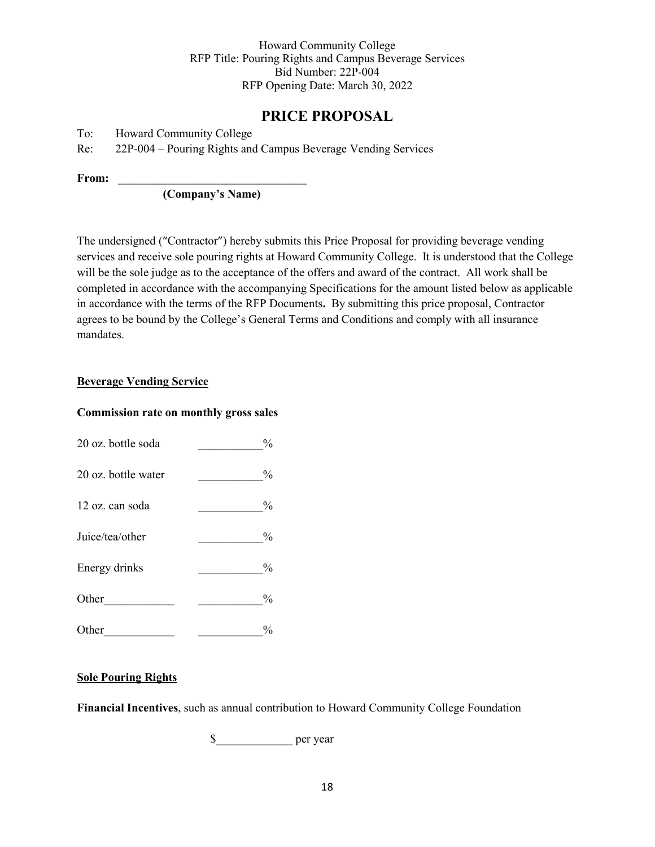# **PRICE PROPOSAL**

To: Howard Community College

Re: 22P-004 – Pouring Rights and Campus Beverage Vending Services

From:

**(Company's Name)**

The undersigned ("Contractor") hereby submits this Price Proposal for providing beverage vending services and receive sole pouring rights at Howard Community College. It is understood that the College will be the sole judge as to the acceptance of the offers and award of the contract. All work shall be completed in accordance with the accompanying Specifications for the amount listed below as applicable in accordance with the terms of the RFP Documents**.** By submitting this price proposal, Contractor agrees to be bound by the College's General Terms and Conditions and comply with all insurance mandates.

#### **Beverage Vending Service**

#### **Commission rate on monthly gross sales**

| 20 oz. bottle soda  | $\frac{0}{0}$ |
|---------------------|---------------|
| 20 oz. bottle water | $\frac{0}{0}$ |
| 12 oz. can soda     | $\frac{0}{0}$ |
| Juice/tea/other     | $\frac{0}{0}$ |
| Energy drinks       | $\frac{0}{0}$ |
| Other               | $\frac{0}{0}$ |
| Other               | $\frac{0}{0}$ |

#### **Sole Pouring Rights**

**Financial Incentives**, such as annual contribution to Howard Community College Foundation

\$\_\_\_\_\_\_\_\_\_\_\_\_\_ per year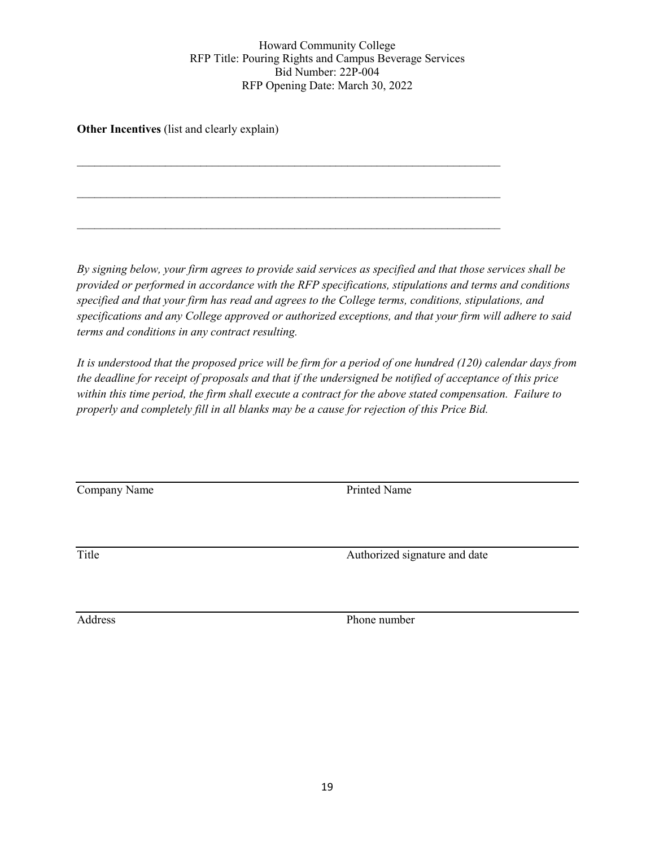$\mathcal{L}_\text{max}$  , and the contribution of the contribution of the contribution of the contribution of the contribution of the contribution of the contribution of the contribution of the contribution of the contribution of t

\_\_\_\_\_\_\_\_\_\_\_\_\_\_\_\_\_\_\_\_\_\_\_\_\_\_\_\_\_\_\_\_\_\_\_\_\_\_\_\_\_\_\_\_\_\_\_\_\_\_\_\_\_\_\_\_\_\_\_\_\_\_\_\_\_\_\_\_\_\_\_\_

 $\mathcal{L}_\text{max}$  , and the contribution of the contribution of the contribution of the contribution of the contribution of the contribution of the contribution of the contribution of the contribution of the contribution of t

**Other Incentives** (list and clearly explain)

*By signing below, your firm agrees to provide said services as specified and that those services shall be provided or performed in accordance with the RFP specifications, stipulations and terms and conditions specified and that your firm has read and agrees to the College terms, conditions, stipulations, and specifications and any College approved or authorized exceptions, and that your firm will adhere to said terms and conditions in any contract resulting.*

*It is understood that the proposed price will be firm for a period of one hundred (120) calendar days from the deadline for receipt of proposals and that if the undersigned be notified of acceptance of this price within this time period, the firm shall execute a contract for the above stated compensation. Failure to properly and completely fill in all blanks may be a cause for rejection of this Price Bid.*

Company Name Printed Name

Title Authorized signature and date

Address Phone number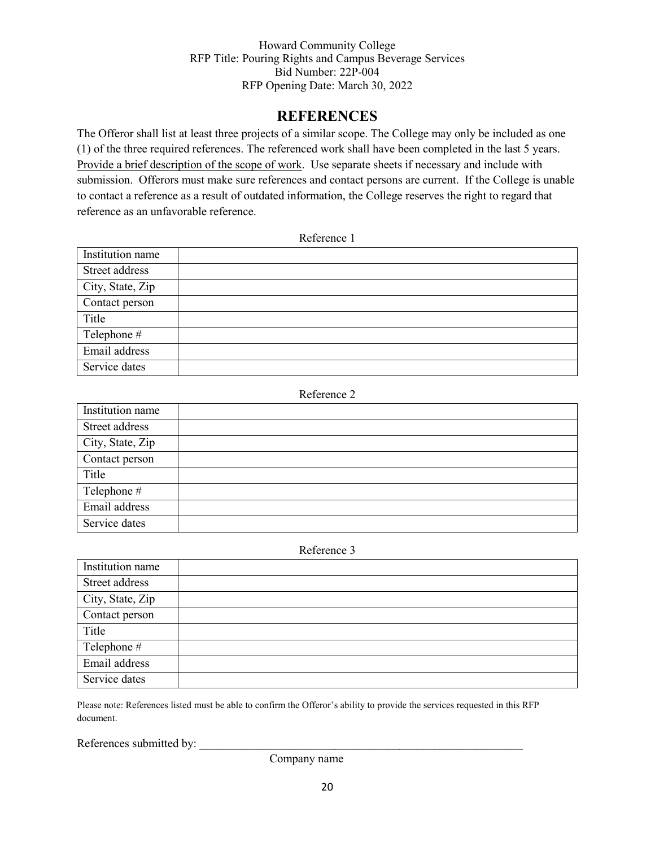# **REFERENCES**

The Offeror shall list at least three projects of a similar scope. The College may only be included as one (1) of the three required references. The referenced work shall have been completed in the last 5 years. Provide a brief description of the scope of work. Use separate sheets if necessary and include with submission. Offerors must make sure references and contact persons are current. If the College is unable to contact a reference as a result of outdated information, the College reserves the right to regard that reference as an unfavorable reference.

#### Reference 1

| Institution name |  |
|------------------|--|
| Street address   |  |
| City, State, Zip |  |
| Contact person   |  |
| Title            |  |
| Telephone #      |  |
| Email address    |  |
| Service dates    |  |

#### Reference 2

| Institution name |  |
|------------------|--|
| Street address   |  |
| City, State, Zip |  |
| Contact person   |  |
| Title            |  |
| Telephone #      |  |
| Email address    |  |
| Service dates    |  |

#### Reference 3

| Institution name |  |
|------------------|--|
| Street address   |  |
| City, State, Zip |  |
| Contact person   |  |
| Title            |  |
| Telephone #      |  |
| Email address    |  |
| Service dates    |  |

Please note: References listed must be able to confirm the Offeror's ability to provide the services requested in this RFP document.

References submitted by:

Company name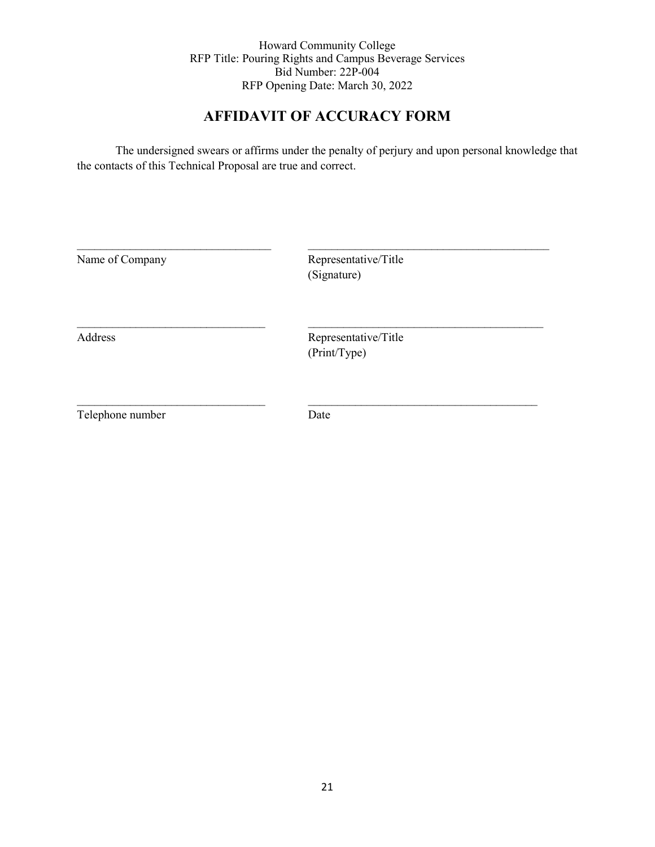# **AFFIDAVIT OF ACCURACY FORM**

The undersigned swears or affirms under the penalty of perjury and upon personal knowledge that the contacts of this Technical Proposal are true and correct.

| Name of Company  | Representative/Title<br>(Signature)  |  |
|------------------|--------------------------------------|--|
| Address          | Representative/Title<br>(Print/Type) |  |
| Telephone number | Date                                 |  |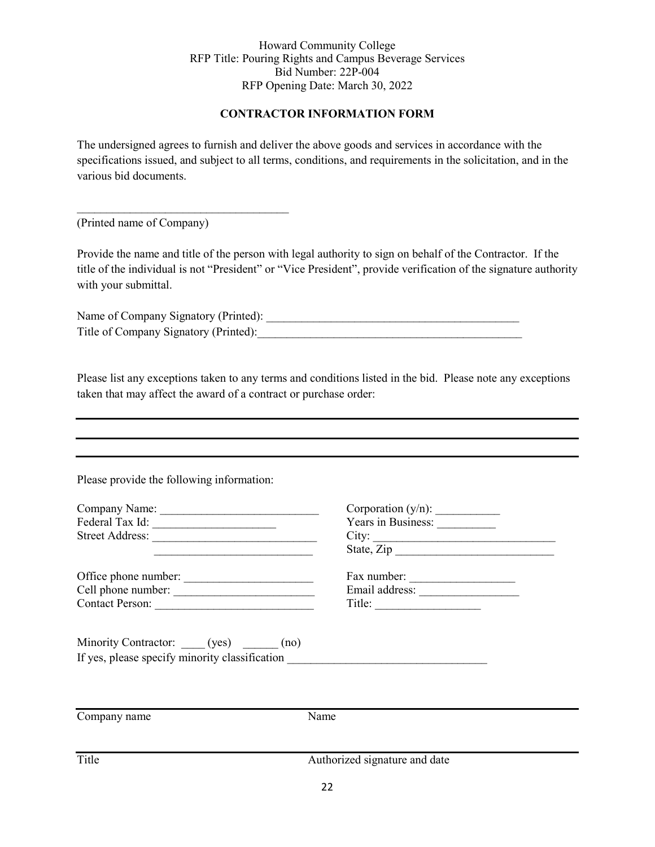## **CONTRACTOR INFORMATION FORM**

The undersigned agrees to furnish and deliver the above goods and services in accordance with the specifications issued, and subject to all terms, conditions, and requirements in the solicitation, and in the various bid documents.

(Printed name of Company)

 $\mathcal{L}_\text{max}$  , where  $\mathcal{L}_\text{max}$  and  $\mathcal{L}_\text{max}$  and  $\mathcal{L}_\text{max}$ 

Provide the name and title of the person with legal authority to sign on behalf of the Contractor. If the title of the individual is not "President" or "Vice President", provide verification of the signature authority with your submittal.

Name of Company Signatory (Printed): \_\_\_\_\_\_\_\_\_\_\_\_\_\_\_\_\_\_\_\_\_\_\_\_\_\_\_\_\_\_\_\_\_\_\_\_\_\_\_\_\_\_\_ Title of Company Signatory (Printed):

Please list any exceptions taken to any terms and conditions listed in the bid. Please note any exceptions taken that may affect the award of a contract or purchase order:

Please provide the following information:

| Company Name:   | Corporation $(y/n)$ : |
|-----------------|-----------------------|
| Federal Tax Id: | Years in Business:    |
| Street Address: | City:                 |
|                 | State, Zip            |

Office phone number: \_\_\_\_\_\_\_\_\_\_\_\_\_\_\_\_\_\_\_\_\_\_ Fax number: \_\_\_\_\_\_\_\_\_\_\_\_\_\_\_\_\_\_ Cell phone number: \_\_\_\_\_\_\_\_\_\_\_\_\_\_\_\_\_\_\_\_\_\_\_\_ Email address: \_\_\_\_\_\_\_\_\_\_\_\_\_\_\_\_\_ Contact Person: \_\_\_\_\_\_\_\_\_\_\_\_\_\_\_\_\_\_\_\_\_\_\_\_\_\_\_ Title: \_\_\_\_\_\_\_\_\_\_\_\_\_\_\_\_\_\_

| Corporation $(y/n)$ : |
|-----------------------|
| Years in Business:    |
|                       |
| State, Zip            |
|                       |
|                       |

| rax number:    |  |
|----------------|--|
| Email address: |  |
| Title:         |  |

Minority Contractor: \_\_\_\_\_ (yes) \_\_\_\_\_\_ (no) If yes, please specify minority classification

Company name Name Title Authorized signature and date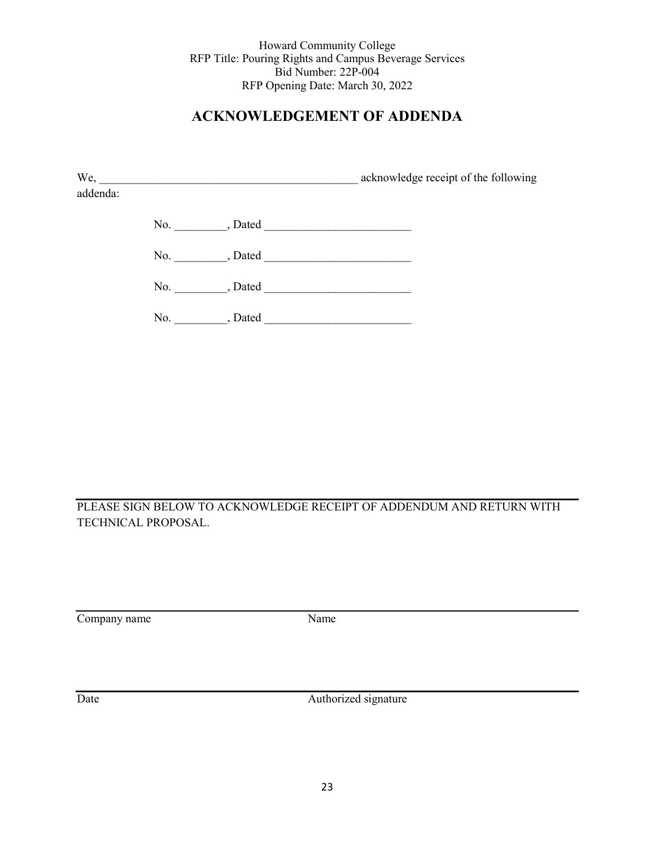# **ACKNOWLEDGEMENT OF ADDENDA**

| We,      |     |         | acknowledge receipt of the following |
|----------|-----|---------|--------------------------------------|
| addenda: |     |         |                                      |
|          | No. | , Dated |                                      |
|          |     |         |                                      |
|          | No. | , Dated |                                      |
|          | No. | , Dated |                                      |

PLEASE SIGN BELOW TO ACKNOWLEDGE RECEIPT OF ADDENDUM AND RETURN WITH TECHNICAL PROPOSAL.

Company name Name

Date Authorized signature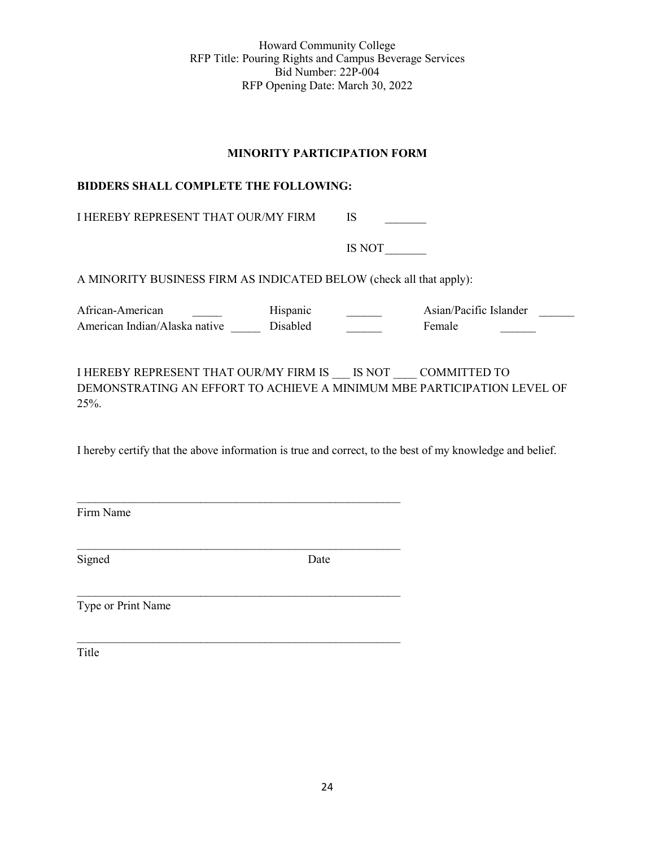#### **MINORITY PARTICIPATION FORM**

#### **BIDDERS SHALL COMPLETE THE FOLLOWING:**

I HEREBY REPRESENT THAT OUR/MY FIRM IS

 $\mathcal{L}_\text{max}$  , and the contract of the contract of the contract of the contract of the contract of the contract of the contract of the contract of the contract of the contract of the contract of the contract of the contr

\_\_\_\_\_\_\_\_\_\_\_\_\_\_\_\_\_\_\_\_\_\_\_\_\_\_\_\_\_\_\_\_\_\_\_\_\_\_\_\_\_\_\_\_\_\_\_\_\_\_\_\_\_\_\_

\_\_\_\_\_\_\_\_\_\_\_\_\_\_\_\_\_\_\_\_\_\_\_\_\_\_\_\_\_\_\_\_\_\_\_\_\_\_\_\_\_\_\_\_\_\_\_\_\_\_\_\_\_\_\_

IS NOT\_\_\_\_\_\_\_

A MINORITY BUSINESS FIRM AS INDICATED BELOW (check all that apply):

African-American \_\_\_\_\_\_ Hispanic \_\_\_\_\_ Asian/Pacific Islander \_\_\_\_\_ American Indian/Alaska native Disabled Female

I HEREBY REPRESENT THAT OUR/MY FIRM IS \_\_\_ IS NOT \_\_\_\_ COMMITTED TO DEMONSTRATING AN EFFORT TO ACHIEVE A MINIMUM MBE PARTICIPATION LEVEL OF 25%.

I hereby certify that the above information is true and correct, to the best of my knowledge and belief.

Firm Name

Signed Date

Type or Print Name

Title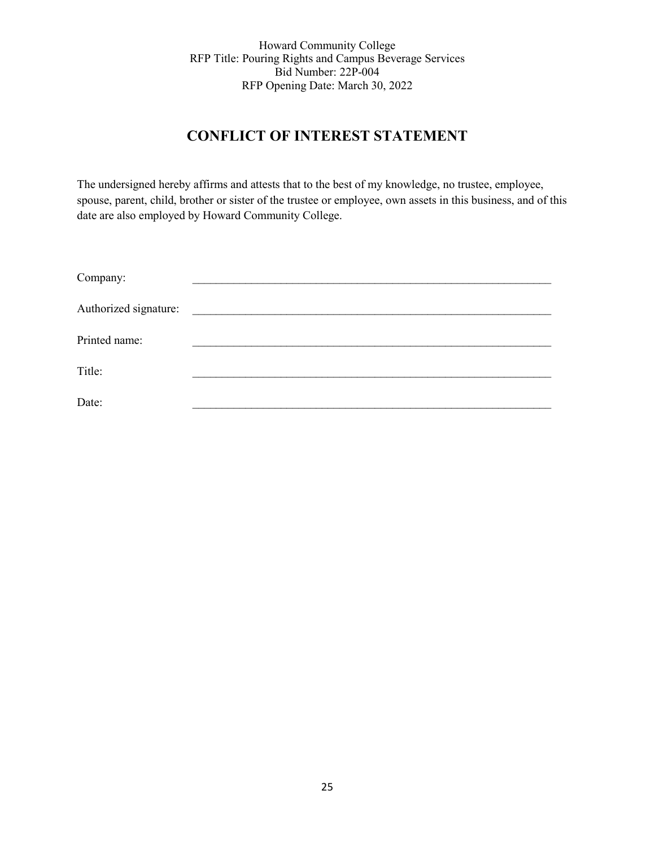# **CONFLICT OF INTEREST STATEMENT**

The undersigned hereby affirms and attests that to the best of my knowledge, no trustee, employee, spouse, parent, child, brother or sister of the trustee or employee, own assets in this business, and of this date are also employed by Howard Community College.

| Company:              |  |
|-----------------------|--|
| Authorized signature: |  |
| Printed name:         |  |
| Title:                |  |
| Date:                 |  |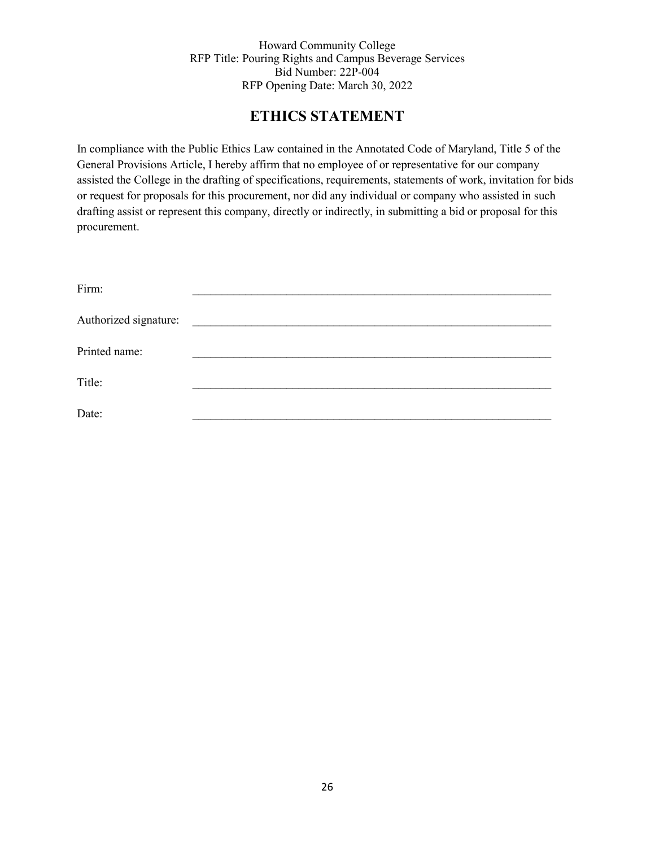# **ETHICS STATEMENT**

In compliance with the Public Ethics Law contained in the Annotated Code of Maryland, Title 5 of the General Provisions Article, I hereby affirm that no employee of or representative for our company assisted the College in the drafting of specifications, requirements, statements of work, invitation for bids or request for proposals for this procurement, nor did any individual or company who assisted in such drafting assist or represent this company, directly or indirectly, in submitting a bid or proposal for this procurement.

| Firm:                 |                                                                   |
|-----------------------|-------------------------------------------------------------------|
| Authorized signature: | <u> 1980 - Jan Samuel Barbara, margaret e populari (h. 1918).</u> |
| Printed name:         |                                                                   |
| Title:                |                                                                   |
| Date:                 |                                                                   |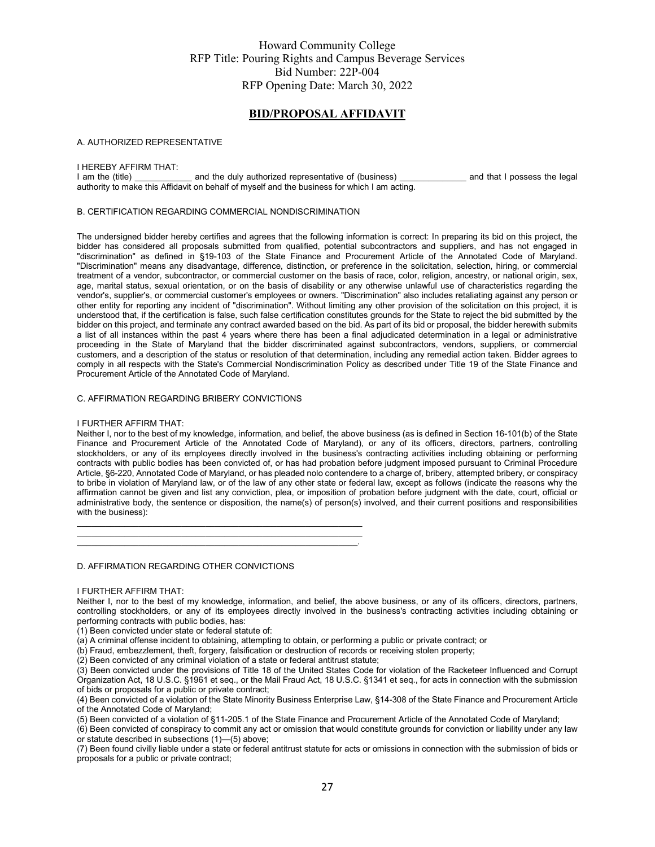#### **BID/PROPOSAL AFFIDAVIT**

#### A. AUTHORIZED REPRESENTATIVE

# I HEREBY AFFIRM THAT:<br>I am the (title)

and the duly authorized representative of (business) and that I possess the legal authority to make this Affidavit on behalf of myself and the business for which I am acting.

#### B. CERTIFICATION REGARDING COMMERCIAL NONDISCRIMINATION

The undersigned bidder hereby certifies and agrees that the following information is correct: In preparing its bid on this project, the bidder has considered all proposals submitted from qualified, potential subcontractors and suppliers, and has not engaged in "discrimination" as defined in §19-103 of the State Finance and Procurement Article of the Annotated Code of Maryland. "Discrimination" means any disadvantage, difference, distinction, or preference in the solicitation, selection, hiring, or commercial treatment of a vendor, subcontractor, or commercial customer on the basis of race, color, religion, ancestry, or national origin, sex, age, marital status, sexual orientation, or on the basis of disability or any otherwise unlawful use of characteristics regarding the vendor's, supplier's, or commercial customer's employees or owners. "Discrimination" also includes retaliating against any person or other entity for reporting any incident of "discrimination". Without limiting any other provision of the solicitation on this project, it is understood that, if the certification is false, such false certification constitutes grounds for the State to reject the bid submitted by the bidder on this project, and terminate any contract awarded based on the bid. As part of its bid or proposal, the bidder herewith submits a list of all instances within the past 4 years where there has been a final adjudicated determination in a legal or administrative proceeding in the State of Maryland that the bidder discriminated against subcontractors, vendors, suppliers, or commercial customers, and a description of the status or resolution of that determination, including any remedial action taken. Bidder agrees to comply in all respects with the State's Commercial Nondiscrimination Policy as described under Title 19 of the State Finance and Procurement Article of the Annotated Code of Maryland.

#### C. AFFIRMATION REGARDING BRIBERY CONVICTIONS

#### I FURTHER AFFIRM THAT:

Neither I, nor to the best of my knowledge, information, and belief, the above business (as is defined in Section 16-101(b) of the State Finance and Procurement Article of the Annotated Code of Maryland), or any of its officers, directors, partners, controlling stockholders, or any of its employees directly involved in the business's contracting activities including obtaining or performing contracts with public bodies has been convicted of, or has had probation before judgment imposed pursuant to Criminal Procedure Article, §6-220, Annotated Code of Maryland, or has pleaded nolo contendere to a charge of, bribery, attempted bribery, or conspiracy to bribe in violation of Maryland law, or of the law of any other state or federal law, except as follows (indicate the reasons why the affirmation cannot be given and list any conviction, plea, or imposition of probation before judgment with the date, court, official or administrative body, the sentence or disposition, the name(s) of person(s) involved, and their current positions and responsibilities with the business):

D. AFFIRMATION REGARDING OTHER CONVICTIONS

#### I FURTHER AFFIRM THAT:

Neither I, nor to the best of my knowledge, information, and belief, the above business, or any of its officers, directors, partners, controlling stockholders, or any of its employees directly involved in the business's contracting activities including obtaining or performing contracts with public bodies, has:

(1) Been convicted under state or federal statute of:

(a) A criminal offense incident to obtaining, attempting to obtain, or performing a public or private contract; or

(b) Fraud, embezzlement, theft, forgery, falsification or destruction of records or receiving stolen property;

(2) Been convicted of any criminal violation of a state or federal antitrust statute;

\_\_\_\_\_\_\_\_\_\_\_\_\_\_\_\_\_\_\_\_\_\_\_\_\_\_\_\_\_\_\_\_\_\_\_\_\_\_\_\_\_\_\_\_\_\_\_\_\_\_\_\_\_\_\_\_\_\_\_\_  $\frac{1}{2}$  ,  $\frac{1}{2}$  ,  $\frac{1}{2}$  ,  $\frac{1}{2}$  ,  $\frac{1}{2}$  ,  $\frac{1}{2}$  ,  $\frac{1}{2}$  ,  $\frac{1}{2}$  ,  $\frac{1}{2}$  ,  $\frac{1}{2}$  ,  $\frac{1}{2}$  ,  $\frac{1}{2}$  ,  $\frac{1}{2}$  ,  $\frac{1}{2}$  ,  $\frac{1}{2}$  ,  $\frac{1}{2}$  ,  $\frac{1}{2}$  ,  $\frac{1}{2}$  ,  $\frac{1$  $\mathcal{L}_\text{max} = \mathcal{L}_\text{max} = \mathcal{L}_\text{max} = \mathcal{L}_\text{max} = \mathcal{L}_\text{max} = \mathcal{L}_\text{max} = \mathcal{L}_\text{max} = \mathcal{L}_\text{max} = \mathcal{L}_\text{max} = \mathcal{L}_\text{max} = \mathcal{L}_\text{max} = \mathcal{L}_\text{max} = \mathcal{L}_\text{max} = \mathcal{L}_\text{max} = \mathcal{L}_\text{max} = \mathcal{L}_\text{max} = \mathcal{L}_\text{max} = \mathcal{L}_\text{max} = \mathcal{$ 

(3) Been convicted under the provisions of Title 18 of the United States Code for violation of the Racketeer Influenced and Corrupt Organization Act, 18 U.S.C. §1961 et seq., or the Mail Fraud Act, 18 U.S.C. §1341 et seq., for acts in connection with the submission of bids or proposals for a public or private contract;

(4) Been convicted of a violation of the State Minority Business Enterprise Law, §14-308 of the State Finance and Procurement Article of the Annotated Code of Maryland;

(5) Been convicted of a violation of §11-205.1 of the State Finance and Procurement Article of the Annotated Code of Maryland;

(6) Been convicted of conspiracy to commit any act or omission that would constitute grounds for conviction or liability under any law or statute described in subsections (1)—(5) above;

(7) Been found civilly liable under a state or federal antitrust statute for acts or omissions in connection with the submission of bids or proposals for a public or private contract;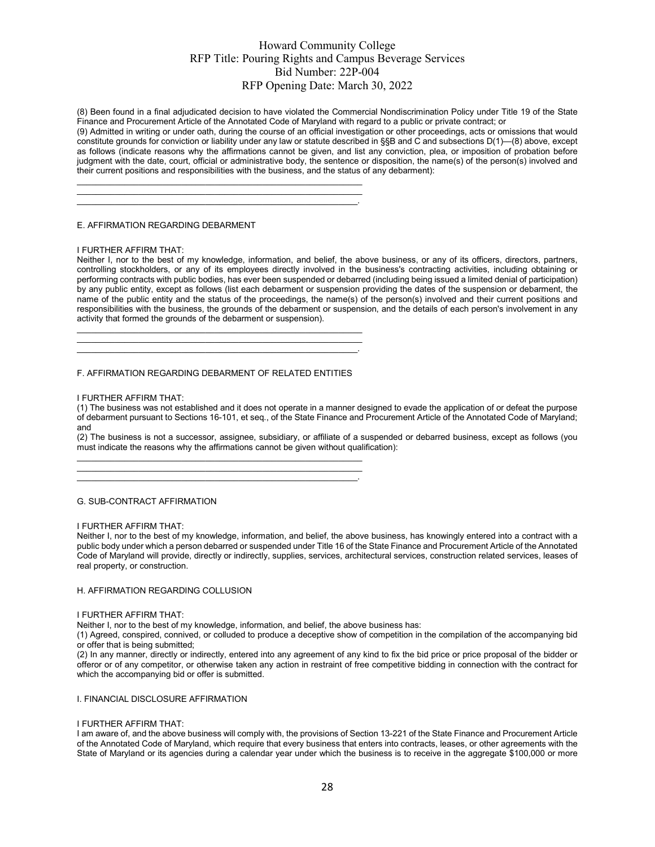(8) Been found in a final adjudicated decision to have violated the Commercial Nondiscrimination Policy under Title 19 of the State Finance and Procurement Article of the Annotated Code of Maryland with regard to a public or private contract; or

(9) Admitted in writing or under oath, during the course of an official investigation or other proceedings, acts or omissions that would constitute grounds for conviction or liability under any law or statute described in §§B and C and subsections D(1)—(8) above, except as follows (indicate reasons why the affirmations cannot be given, and list any conviction, plea, or imposition of probation before judgment with the date, court, official or administrative body, the sentence or disposition, the name(s) of the person(s) involved and their current positions and responsibilities with the business, and the status of any debarment):

E. AFFIRMATION REGARDING DEBARMENT

#### I FURTHER AFFIRM THAT:

Neither I, nor to the best of my knowledge, information, and belief, the above business, or any of its officers, directors, partners, controlling stockholders, or any of its employees directly involved in the business's contracting activities, including obtaining or performing contracts with public bodies, has ever been suspended or debarred (including being issued a limited denial of participation) by any public entity, except as follows (list each debarment or suspension providing the dates of the suspension or debarment, the name of the public entity and the status of the proceedings, the name(s) of the person(s) involved and their current positions and responsibilities with the business, the grounds of the debarment or suspension, and the details of each person's involvement in any activity that formed the grounds of the debarment or suspension).

 $\frac{1}{2}$  ,  $\frac{1}{2}$  ,  $\frac{1}{2}$  ,  $\frac{1}{2}$  ,  $\frac{1}{2}$  ,  $\frac{1}{2}$  ,  $\frac{1}{2}$  ,  $\frac{1}{2}$  ,  $\frac{1}{2}$  ,  $\frac{1}{2}$  ,  $\frac{1}{2}$  ,  $\frac{1}{2}$  ,  $\frac{1}{2}$  ,  $\frac{1}{2}$  ,  $\frac{1}{2}$  ,  $\frac{1}{2}$  ,  $\frac{1}{2}$  ,  $\frac{1}{2}$  ,  $\frac{1$ \_\_\_\_\_\_\_\_\_\_\_\_\_\_\_\_\_\_\_\_\_\_\_\_\_\_\_\_\_\_\_\_\_\_\_\_\_\_\_\_\_\_\_\_\_\_\_\_\_\_\_\_\_\_\_\_\_\_\_\_ \_\_\_\_\_\_\_\_\_\_\_\_\_\_\_\_\_\_\_\_\_\_\_\_\_\_\_\_\_\_\_\_\_\_\_\_\_\_\_\_\_\_\_\_\_\_\_\_\_\_\_\_\_\_\_\_\_\_\_.

 $\frac{1}{2}$  ,  $\frac{1}{2}$  ,  $\frac{1}{2}$  ,  $\frac{1}{2}$  ,  $\frac{1}{2}$  ,  $\frac{1}{2}$  ,  $\frac{1}{2}$  ,  $\frac{1}{2}$  ,  $\frac{1}{2}$  ,  $\frac{1}{2}$  ,  $\frac{1}{2}$  ,  $\frac{1}{2}$  ,  $\frac{1}{2}$  ,  $\frac{1}{2}$  ,  $\frac{1}{2}$  ,  $\frac{1}{2}$  ,  $\frac{1}{2}$  ,  $\frac{1}{2}$  ,  $\frac{1$ \_\_\_\_\_\_\_\_\_\_\_\_\_\_\_\_\_\_\_\_\_\_\_\_\_\_\_\_\_\_\_\_\_\_\_\_\_\_\_\_\_\_\_\_\_\_\_\_\_\_\_\_\_\_\_\_\_\_\_\_ \_\_\_\_\_\_\_\_\_\_\_\_\_\_\_\_\_\_\_\_\_\_\_\_\_\_\_\_\_\_\_\_\_\_\_\_\_\_\_\_\_\_\_\_\_\_\_\_\_\_\_\_\_\_\_\_\_\_\_.

#### F. AFFIRMATION REGARDING DEBARMENT OF RELATED ENTITIES

 $\frac{1}{2}$  ,  $\frac{1}{2}$  ,  $\frac{1}{2}$  ,  $\frac{1}{2}$  ,  $\frac{1}{2}$  ,  $\frac{1}{2}$  ,  $\frac{1}{2}$  ,  $\frac{1}{2}$  ,  $\frac{1}{2}$  ,  $\frac{1}{2}$  ,  $\frac{1}{2}$  ,  $\frac{1}{2}$  ,  $\frac{1}{2}$  ,  $\frac{1}{2}$  ,  $\frac{1}{2}$  ,  $\frac{1}{2}$  ,  $\frac{1}{2}$  ,  $\frac{1}{2}$  ,  $\frac{1$ \_\_\_\_\_\_\_\_\_\_\_\_\_\_\_\_\_\_\_\_\_\_\_\_\_\_\_\_\_\_\_\_\_\_\_\_\_\_\_\_\_\_\_\_\_\_\_\_\_\_\_\_\_\_\_\_\_\_\_\_ \_\_\_\_\_\_\_\_\_\_\_\_\_\_\_\_\_\_\_\_\_\_\_\_\_\_\_\_\_\_\_\_\_\_\_\_\_\_\_\_\_\_\_\_\_\_\_\_\_\_\_\_\_\_\_\_\_\_\_.

#### I FURTHER AFFIRM THAT:

(1) The business was not established and it does not operate in a manner designed to evade the application of or defeat the purpose of debarment pursuant to Sections 16-101, et seq., of the State Finance and Procurement Article of the Annotated Code of Maryland; and

(2) The business is not a successor, assignee, subsidiary, or affiliate of a suspended or debarred business, except as follows (you must indicate the reasons why the affirmations cannot be given without qualification):

#### G. SUB-CONTRACT AFFIRMATION

#### I FURTHER AFFIRM THAT:

Neither I, nor to the best of my knowledge, information, and belief, the above business, has knowingly entered into a contract with a public body under which a person debarred or suspended under Title 16 of the State Finance and Procurement Article of the Annotated Code of Maryland will provide, directly or indirectly, supplies, services, architectural services, construction related services, leases of real property, or construction.

#### H. AFFIRMATION REGARDING COLLUSION

#### I FURTHER AFFIRM THAT:

Neither I, nor to the best of my knowledge, information, and belief, the above business has:

(1) Agreed, conspired, connived, or colluded to produce a deceptive show of competition in the compilation of the accompanying bid or offer that is being submitted;

(2) In any manner, directly or indirectly, entered into any agreement of any kind to fix the bid price or price proposal of the bidder or offeror or of any competitor, or otherwise taken any action in restraint of free competitive bidding in connection with the contract for which the accompanying bid or offer is submitted.

#### I. FINANCIAL DISCLOSURE AFFIRMATION

#### I FURTHER AFFIRM THAT:

I am aware of, and the above business will comply with, the provisions of Section 13-221 of the State Finance and Procurement Article of the Annotated Code of Maryland, which require that every business that enters into contracts, leases, or other agreements with the State of Maryland or its agencies during a calendar year under which the business is to receive in the aggregate \$100,000 or more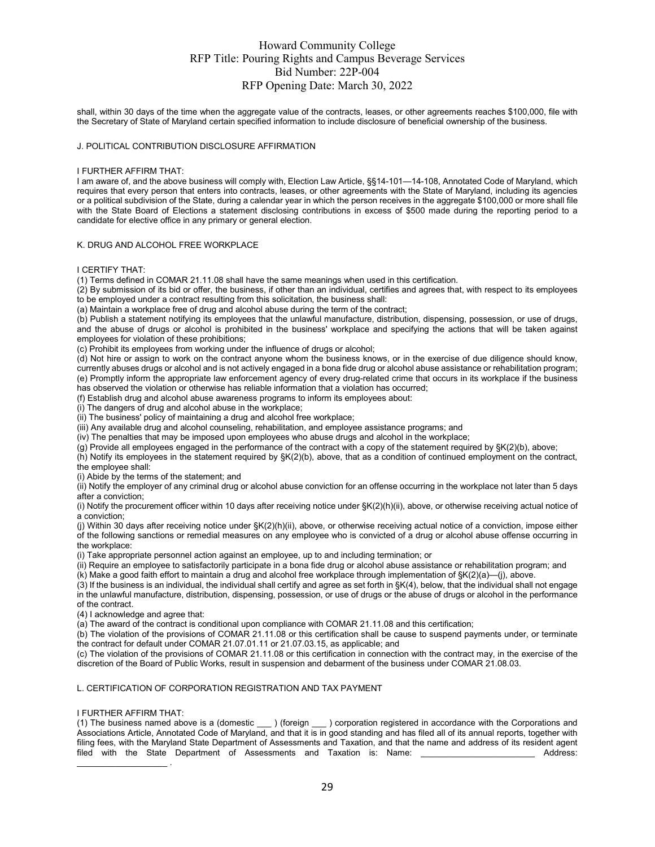shall, within 30 days of the time when the aggregate value of the contracts, leases, or other agreements reaches \$100,000, file with the Secretary of State of Maryland certain specified information to include disclosure of beneficial ownership of the business.

#### J. POLITICAL CONTRIBUTION DISCLOSURE AFFIRMATION

#### I FURTHER AFFIRM THAT:

I am aware of, and the above business will comply with, Election Law Article, §§14-101—14-108, Annotated Code of Maryland, which requires that every person that enters into contracts, leases, or other agreements with the State of Maryland, including its agencies or a political subdivision of the State, during a calendar year in which the person receives in the aggregate \$100,000 or more shall file with the State Board of Elections a statement disclosing contributions in excess of \$500 made during the reporting period to a candidate for elective office in any primary or general election.

#### K. DRUG AND ALCOHOL FREE WORKPLACE

#### I CERTIFY THAT:

(1) Terms defined in COMAR 21.11.08 shall have the same meanings when used in this certification.

 $(2)$  By submission of its bid or offer, the business, if other than an individual, certifies and agrees that, with respect to its employees to be employed under a contract resulting from this solicitation, the business shall:

(a) Maintain a workplace free of drug and alcohol abuse during the term of the contract;

(b) Publish a statement notifying its employees that the unlawful manufacture, distribution, dispensing, possession, or use of drugs, and the abuse of drugs or alcohol is prohibited in the business' workplace and specifying the actions that will be taken against employees for violation of these prohibitions;

(c) Prohibit its employees from working under the influence of drugs or alcohol;

(d) Not hire or assign to work on the contract anyone whom the business knows, or in the exercise of due diligence should know, currently abuses drugs or alcohol and is not actively engaged in a bona fide drug or alcohol abuse assistance or rehabilitation program; (e) Promptly inform the appropriate law enforcement agency of every drug-related crime that occurs in its workplace if the business has observed the violation or otherwise has reliable information that a violation has occurred;

(f) Establish drug and alcohol abuse awareness programs to inform its employees about:

(i) The dangers of drug and alcohol abuse in the workplace;

(ii) The business' policy of maintaining a drug and alcohol free workplace;

(iii) Any available drug and alcohol counseling, rehabilitation, and employee assistance programs; and

(iv) The penalties that may be imposed upon employees who abuse drugs and alcohol in the workplace;

(g) Provide all employees engaged in the performance of the contract with a copy of the statement required by §K(2)(b), above;

(h) Notify its employees in the statement required by §K(2)(b), above, that as a condition of continued employment on the contract, the employee shall:

(i) Abide by the terms of the statement; and

(ii) Notify the employer of any criminal drug or alcohol abuse conviction for an offense occurring in the workplace not later than 5 days after a conviction;

(i) Notify the procurement officer within 10 days after receiving notice under §K(2)(h)(ii), above, or otherwise receiving actual notice of a conviction;

(j) Within 30 days after receiving notice under §K(2)(h)(ii), above, or otherwise receiving actual notice of a conviction, impose either of the following sanctions or remedial measures on any employee who is convicted of a drug or alcohol abuse offense occurring in the workplace:

(i) Take appropriate personnel action against an employee, up to and including termination; or

(ii) Require an employee to satisfactorily participate in a bona fide drug or alcohol abuse assistance or rehabilitation program; and

(k) Make a good faith effort to maintain a drug and alcohol free workplace through implementation of §K(2)(a)—(j), above.

(3) If the business is an individual, the individual shall certify and agree as set forth in §K(4), below, that the individual shall not engage in the unlawful manufacture, distribution, dispensing, possession, or use of drugs or the abuse of drugs or alcohol in the performance of the contract.

(4) I acknowledge and agree that:

(a) The award of the contract is conditional upon compliance with COMAR 21.11.08 and this certification;

 $(b)$  The violation of the provisions of COMAR 21.11.08 or this certification shall be cause to suspend payments under, or terminate the contract for default under COMAR 21.07.01.11 or 21.07.03.15, as applicable; and

(c) The violation of the provisions of COMAR 21.11.08 or this certification in connection with the contract may, in the exercise of the discretion of the Board of Public Works, result in suspension and debarment of the business under COMAR 21.08.03.

#### L. CERTIFICATION OF CORPORATION REGISTRATION AND TAX PAYMENT

#### I FURTHER AFFIRM THAT:

(1) The business named above is a (domestic \_\_\_ ) (foreign \_\_\_ ) corporation registered in accordance with the Corporations and Associations Article, Annotated Code of Maryland, and that it is in good standing and has filed all of its annual reports, together with filing fees, with the Maryland State Department of Assessments and Taxation, and that the name and address of its resident agent filed with the State Department of Assessments and Taxation is: Name: \_\_\_\_\_\_\_\_\_\_\_\_\_\_\_\_\_\_\_\_\_\_\_\_\_\_\_\_ Address:  $\frac{1}{2}$  . The set of the set of the set of the set of the set of the set of the set of the set of the set of the set of the set of the set of the set of the set of the set of the set of the set of the set of the set of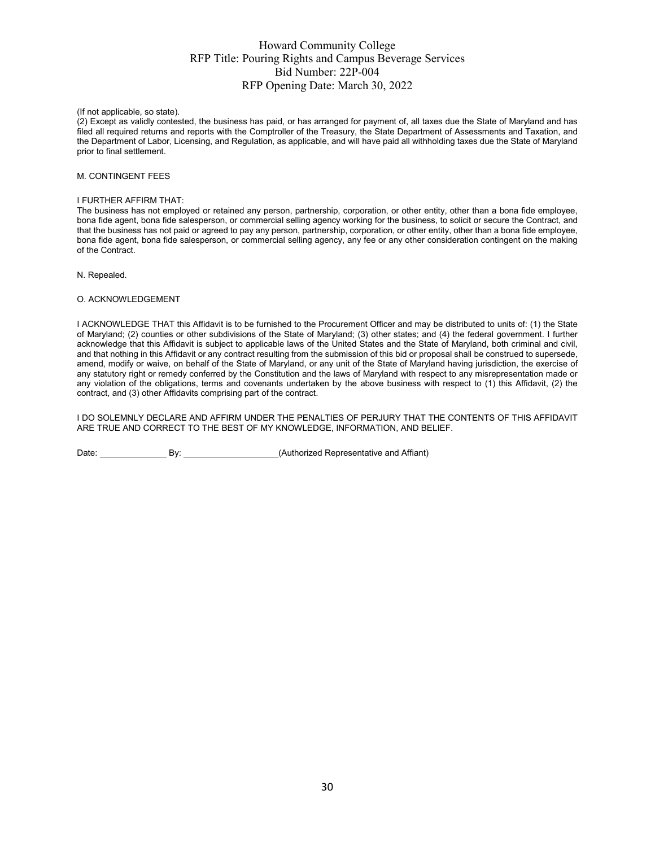(If not applicable, so state).

(2) Except as validly contested, the business has paid, or has arranged for payment of, all taxes due the State of Maryland and has filed all required returns and reports with the Comptroller of the Treasury, the State Department of Assessments and Taxation, and the Department of Labor, Licensing, and Regulation, as applicable, and will have paid all withholding taxes due the State of Maryland prior to final settlement.

#### M. CONTINGENT FEES

#### I FURTHER AFFIRM THAT:

The business has not employed or retained any person, partnership, corporation, or other entity, other than a bona fide employee, bona fide agent, bona fide salesperson, or commercial selling agency working for the business, to solicit or secure the Contract, and that the business has not paid or agreed to pay any person, partnership, corporation, or other entity, other than a bona fide employee, bona fide agent, bona fide salesperson, or commercial selling agency, any fee or any other consideration contingent on the making of the Contract.

N. Repealed.

#### O. ACKNOWLEDGEMENT

I ACKNOWLEDGE THAT this Affidavit is to be furnished to the Procurement Officer and may be distributed to units of: (1) the State of Maryland; (2) counties or other subdivisions of the State of Maryland; (3) other states; and (4) the federal government. I further acknowledge that this Affidavit is subject to applicable laws of the United States and the State of Maryland, both criminal and civil, and that nothing in this Affidavit or any contract resulting from the submission of this bid or proposal shall be construed to supersede, amend, modify or waive, on behalf of the State of Maryland, or any unit of the State of Maryland having jurisdiction, the exercise of any statutory right or remedy conferred by the Constitution and the laws of Maryland with respect to any misrepresentation made or any violation of the obligations, terms and covenants undertaken by the above business with respect to (1) this Affidavit, (2) the contract, and (3) other Affidavits comprising part of the contract.

I DO SOLEMNLY DECLARE AND AFFIRM UNDER THE PENALTIES OF PERJURY THAT THE CONTENTS OF THIS AFFIDAVIT ARE TRUE AND CORRECT TO THE BEST OF MY KNOWLEDGE, INFORMATION, AND BELIEF.

Date: \_\_\_\_\_\_\_\_\_\_\_\_\_\_ By: \_\_\_\_\_\_\_\_\_\_\_\_\_\_\_\_\_\_\_\_(Authorized Representative and Affiant)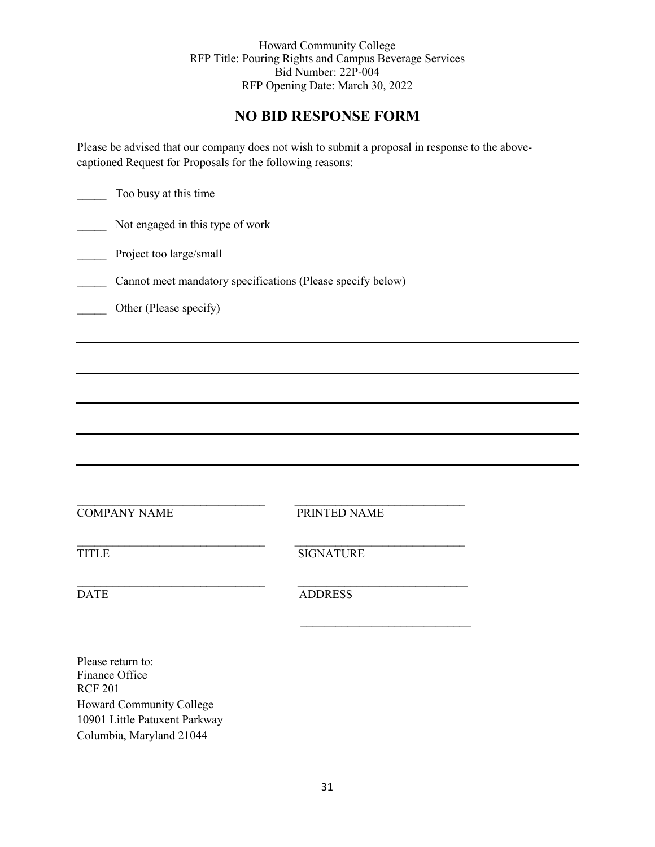# **NO BID RESPONSE FORM**

Please be advised that our company does not wish to submit a proposal in response to the abovecaptioned Request for Proposals for the following reasons:

| Too busy at this time                          |                                                             |  |  |  |  |  |
|------------------------------------------------|-------------------------------------------------------------|--|--|--|--|--|
| Not engaged in this type of work               |                                                             |  |  |  |  |  |
| Project too large/small                        |                                                             |  |  |  |  |  |
|                                                | Cannot meet mandatory specifications (Please specify below) |  |  |  |  |  |
| Other (Please specify)                         |                                                             |  |  |  |  |  |
|                                                |                                                             |  |  |  |  |  |
|                                                |                                                             |  |  |  |  |  |
|                                                |                                                             |  |  |  |  |  |
|                                                |                                                             |  |  |  |  |  |
|                                                |                                                             |  |  |  |  |  |
|                                                |                                                             |  |  |  |  |  |
| <b>COMPANY NAME</b>                            | PRINTED NAME                                                |  |  |  |  |  |
| <b>TITLE</b>                                   | <b>SIGNATURE</b>                                            |  |  |  |  |  |
| <b>DATE</b>                                    | <b>ADDRESS</b>                                              |  |  |  |  |  |
|                                                |                                                             |  |  |  |  |  |
| Please return to:<br>Finance Office<br>DCD 201 |                                                             |  |  |  |  |  |

RCF 201 Howard Community College 10901 Little Patuxent Parkway Columbia, Maryland 21044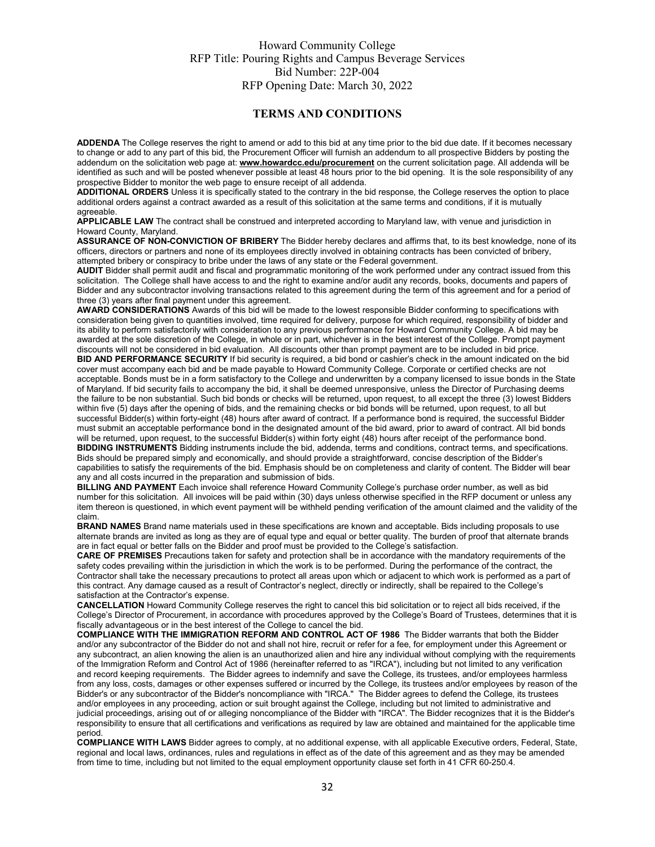#### **TERMS AND CONDITIONS**

**ADDENDA** The College reserves the right to amend or add to this bid at any time prior to the bid due date. If it becomes necessary to change or add to any part of this bid, the Procurement Officer will furnish an addendum to all prospective Bidders by posting the addendum on the solicitation web page at: **[www.howardcc.edu/procurement](http://www.howardcc.edu/procurement)** on the current solicitation page. All addenda will be identified as such and will be posted whenever possible at least 48 hours prior to the bid opening. It is the sole responsibility of any prospective Bidder to monitor the web page to ensure receipt of all addenda.

**ADDITIONAL ORDERS** Unless it is specifically stated to the contrary in the bid response, the College reserves the option to place additional orders against a contract awarded as a result of this solicitation at the same terms and conditions, if it is mutually agreeable.

**APPLICABLE LAW** The contract shall be construed and interpreted according to Maryland law, with venue and jurisdiction in Howard County, Maryland.

**ASSURANCE OF NON-CONVICTION OF BRIBERY** The Bidder hereby declares and affirms that, to its best knowledge, none of its officers, directors or partners and none of its employees directly involved in obtaining contracts has been convicted of bribery, attempted bribery or conspiracy to bribe under the laws of any state or the Federal government.

**AUDIT** Bidder shall permit audit and fiscal and programmatic monitoring of the work performed under any contract issued from this solicitation. The College shall have access to and the right to examine and/or audit any records, books, documents and papers of Bidder and any subcontractor involving transactions related to this agreement during the term of this agreement and for a period of three (3) years after final payment under this agreement.

**AWARD CONSIDERATIONS** Awards of this bid will be made to the lowest responsible Bidder conforming to specifications with consideration being given to quantities involved, time required for delivery, purpose for which required, responsibility of bidder and its ability to perform satisfactorily with consideration to any previous performance for Howard Community College. A bid may be awarded at the sole discretion of the College, in whole or in part, whichever is in the best interest of the College. Prompt payment discounts will not be considered in bid evaluation. All discounts other than prompt payment are to be included in bid price.

**BID AND PERFORMANCE SECURITY** If bid security is required, a bid bond or cashier's check in the amount indicated on the bid cover must accompany each bid and be made payable to Howard Community College. Corporate or certified checks are not acceptable. Bonds must be in a form satisfactory to the College and underwritten by a company licensed to issue bonds in the State of Maryland. If bid security fails to accompany the bid, it shall be deemed unresponsive, unless the Director of Purchasing deems the failure to be non substantial. Such bid bonds or checks will be returned, upon request, to all except the three (3) lowest Bidders within five (5) days after the opening of bids, and the remaining checks or bid bonds will be returned, upon request, to all but successful Bidder(s) within forty-eight (48) hours after award of contract. If a performance bond is required, the successful Bidder must submit an acceptable performance bond in the designated amount of the bid award, prior to award of contract. All bid bonds will be returned, upon request, to the successful Bidder(s) within forty eight (48) hours after receipt of the performance bond. **BIDDING INSTRUMENTS** Bidding instruments include the bid, addenda, terms and conditions, contract terms, and specifications. Bids should be prepared simply and economically, and should provide a straightforward, concise description of the Bidder's capabilities to satisfy the requirements of the bid. Emphasis should be on completeness and clarity of content. The Bidder will bear any and all costs incurred in the preparation and submission of bids.

**BILLING AND PAYMENT** Each invoice shall reference Howard Community College's purchase order number, as well as bid number for this solicitation. All invoices will be paid within (30) days unless otherwise specified in the RFP document or unless any item thereon is questioned, in which event payment will be withheld pending verification of the amount claimed and the validity of the claim.

**BRAND NAMES** Brand name materials used in these specifications are known and acceptable. Bids including proposals to use alternate brands are invited as long as they are of equal type and equal or better quality. The burden of proof that alternate brands are in fact equal or better falls on the Bidder and proof must be provided to the College's satisfaction.

**CARE OF PREMISES** Precautions taken for safety and protection shall be in accordance with the mandatory requirements of the safety codes prevailing within the jurisdiction in which the work is to be performed. During the performance of the contract, the Contractor shall take the necessary precautions to protect all areas upon which or adjacent to which work is performed as a part of this contract. Any damage caused as a result of Contractor's neglect, directly or indirectly, shall be repaired to the College's satisfaction at the Contractor's expense.

**CANCELLATION** Howard Community College reserves the right to cancel this bid solicitation or to reject all bids received, if the College's Director of Procurement, in accordance with procedures approved by the College's Board of Trustees, determines that it is fiscally advantageous or in the best interest of the College to cancel the bid.

**COMPLIANCE WITH THE IMMIGRATION REFORM AND CONTROL ACT OF 1986** The Bidder warrants that both the Bidder and/or any subcontractor of the Bidder do not and shall not hire, recruit or refer for a fee, for employment under this Agreement or any subcontract, an alien knowing the alien is an unauthorized alien and hire any individual without complying with the requirements of the Immigration Reform and Control Act of 1986 (hereinafter referred to as "IRCA"), including but not limited to any verification and record keeping requirements. The Bidder agrees to indemnify and save the College, its trustees, and/or employees harmless from any loss, costs, damages or other expenses suffered or incurred by the College, its trustees and/or employees by reason of the Bidder's or any subcontractor of the Bidder's noncompliance with "IRCA." The Bidder agrees to defend the College, its trustees and/or employees in any proceeding, action or suit brought against the College, including but not limited to administrative and judicial proceedings, arising out of or alleging noncompliance of the Bidder with "IRCA". The Bidder recognizes that it is the Bidder's responsibility to ensure that all certifications and verifications as required by law are obtained and maintained for the applicable time period.

**COMPLIANCE WITH LAWS** Bidder agrees to comply, at no additional expense, with all applicable Executive orders, Federal, State, regional and local laws, ordinances, rules and regulations in effect as of the date of this agreement and as they may be amended from time to time, including but not limited to the equal employment opportunity clause set forth in 41 CFR 60-250.4.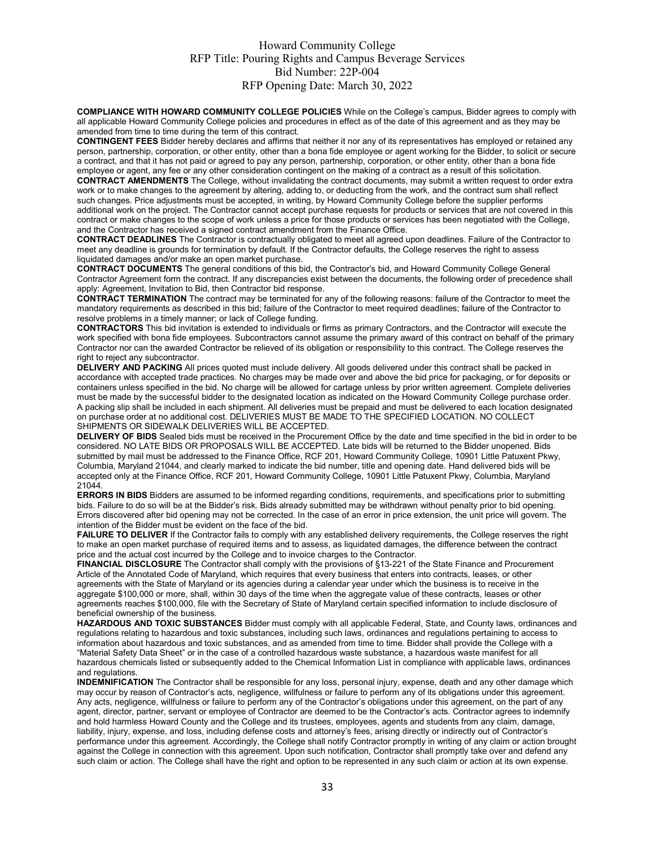**COMPLIANCE WITH HOWARD COMMUNITY COLLEGE POLICIES** While on the College's campus, Bidder agrees to comply with all applicable Howard Community College policies and procedures in effect as of the date of this agreement and as they may be amended from time to time during the term of this contract.

**CONTINGENT FEES** Bidder hereby declares and affirms that neither it nor any of its representatives has employed or retained any person, partnership, corporation, or other entity, other than a bona fide employee or agent working for the Bidder, to solicit or secure a contract, and that it has not paid or agreed to pay any person, partnership, corporation, or other entity, other than a bona fide employee or agent, any fee or any other consideration contingent on the making of a contract as a result of this solicitation.

**CONTRACT AMENDMENTS** The College, without invalidating the contract documents, may submit a written request to order extra work or to make changes to the agreement by altering, adding to, or deducting from the work, and the contract sum shall reflect such changes. Price adjustments must be accepted, in writing, by Howard Community College before the supplier performs additional work on the project. The Contractor cannot accept purchase requests for products or services that are not covered in this contract or make changes to the scope of work unless a price for those products or services has been negotiated with the College, and the Contractor has received a signed contract amendment from the Finance Office.

**CONTRACT DEADLINES** The Contractor is contractually obligated to meet all agreed upon deadlines. Failure of the Contractor to meet any deadline is grounds for termination by default. If the Contractor defaults, the College reserves the right to assess liquidated damages and/or make an open market purchase.

**CONTRACT DOCUMENTS** The general conditions of this bid, the Contractor's bid, and Howard Community College General Contractor Agreement form the contract. If any discrepancies exist between the documents, the following order of precedence shall apply: Agreement, Invitation to Bid, then Contractor bid response.

**CONTRACT TERMINATION** The contract may be terminated for any of the following reasons: failure of the Contractor to meet the mandatory requirements as described in this bid; failure of the Contractor to meet required deadlines; failure of the Contractor to resolve problems in a timely manner; or lack of College funding.

**CONTRACTORS** This bid invitation is extended to individuals or firms as primary Contractors, and the Contractor will execute the work specified with bona fide employees. Subcontractors cannot assume the primary award of this contract on behalf of the primary Contractor nor can the awarded Contractor be relieved of its obligation or responsibility to this contract. The College reserves the right to reject any subcontractor.

**DELIVERY AND PACKING** All prices quoted must include delivery. All goods delivered under this contract shall be packed in accordance with accepted trade practices. No charges may be made over and above the bid price for packaging, or for deposits or containers unless specified in the bid. No charge will be allowed for cartage unless by prior written agreement. Complete deliveries must be made by the successful bidder to the designated location as indicated on the Howard Community College purchase order. A packing slip shall be included in each shipment. All deliveries must be prepaid and must be delivered to each location designated on purchase order at no additional cost. DELIVERIES MUST BE MADE TO THE SPECIFIED LOCATION. NO COLLECT SHIPMENTS OR SIDEWALK DELIVERIES WILL BE ACCEPTED.

**DELIVERY OF BIDS** Sealed bids must be received in the Procurement Office by the date and time specified in the bid in order to be considered. NO LATE BIDS OR PROPOSALS WILL BE ACCEPTED. Late bids will be returned to the Bidder unopened. Bids submitted by mail must be addressed to the Finance Office, RCF 201, Howard Community College, 10901 Little Patuxent Pkwy, Columbia, Maryland 21044, and clearly marked to indicate the bid number, title and opening date. Hand delivered bids will be accepted only at the Finance Office, RCF 201, Howard Community College, 10901 Little Patuxent Pkwy, Columbia, Maryland 21044.

**ERRORS IN BIDS** Bidders are assumed to be informed regarding conditions, requirements, and specifications prior to submitting bids. Failure to do so will be at the Bidder's risk. Bids already submitted may be withdrawn without penalty prior to bid opening. Errors discovered after bid opening may not be corrected. In the case of an error in price extension, the unit price will govern. The intention of the Bidder must be evident on the face of the bid.

**FAILURE TO DELIVER** If the Contractor fails to comply with any established delivery requirements, the College reserves the right to make an open market purchase of required items and to assess, as liquidated damages, the difference between the contract price and the actual cost incurred by the College and to invoice charges to the Contractor.

**FINANCIAL DISCLOSURE** The Contractor shall comply with the provisions of §13-221 of the State Finance and Procurement Article of the Annotated Code of Maryland, which requires that every business that enters into contracts, leases, or other agreements with the State of Maryland or its agencies during a calendar year under which the business is to receive in the aggregate \$100,000 or more, shall, within 30 days of the time when the aggregate value of these contracts, leases or other agreements reaches \$100,000, file with the Secretary of State of Maryland certain specified information to include disclosure of beneficial ownership of the business.

**HAZARDOUS AND TOXIC SUBSTANCES** Bidder must comply with all applicable Federal, State, and County laws, ordinances and regulations relating to hazardous and toxic substances, including such laws, ordinances and regulations pertaining to access to information about hazardous and toxic substances, and as amended from time to time. Bidder shall provide the College with a "Material Safety Data Sheet" or in the case of a controlled hazardous waste substance, a hazardous waste manifest for all hazardous chemicals listed or subsequently added to the Chemical Information List in compliance with applicable laws, ordinances and regulations.

**INDEMNIFICATION** The Contractor shall be responsible for any loss, personal injury, expense, death and any other damage which may occur by reason of Contractor's acts, negligence, willfulness or failure to perform any of its obligations under this agreement. Any acts, negligence, willfulness or failure to perform any of the Contractor's obligations under this agreement, on the part of any agent, director, partner, servant or employee of Contractor are deemed to be the Contractor's acts. Contractor agrees to indemnify and hold harmless Howard County and the College and its trustees, employees, agents and students from any claim, damage, liability, injury, expense, and loss, including defense costs and attorney's fees, arising directly or indirectly out of Contractor's performance under this agreement. Accordingly, the College shall notify Contractor promptly in writing of any claim or action brought against the College in connection with this agreement. Upon such notification, Contractor shall promptly take over and defend any such claim or action. The College shall have the right and option to be represented in any such claim or action at its own expense.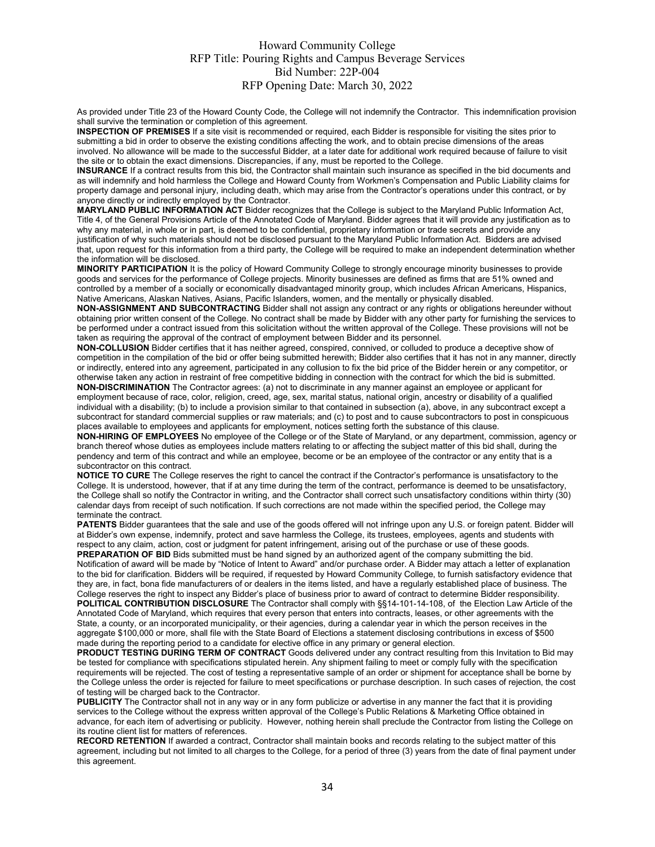As provided under Title 23 of the Howard County Code, the College will not indemnify the Contractor. This indemnification provision shall survive the termination or completion of this agreement.

**INSPECTION OF PREMISES** If a site visit is recommended or required, each Bidder is responsible for visiting the sites prior to submitting a bid in order to observe the existing conditions affecting the work, and to obtain precise dimensions of the areas involved. No allowance will be made to the successful Bidder, at a later date for additional work required because of failure to visit the site or to obtain the exact dimensions. Discrepancies, if any, must be reported to the College.

**INSURANCE** If a contract results from this bid, the Contractor shall maintain such insurance as specified in the bid documents and as will indemnify and hold harmless the College and Howard County from Workmen's Compensation and Public Liability claims for property damage and personal injury, including death, which may arise from the Contractor's operations under this contract, or by anyone directly or indirectly employed by the Contractor.

**MARYLAND PUBLIC INFORMATION ACT** Bidder recognizes that the College is subject to the Maryland Public Information Act, Title 4, of the General Provisions Article of the Annotated Code of Maryland. Bidder agrees that it will provide any justification as to why any material, in whole or in part, is deemed to be confidential, proprietary information or trade secrets and provide any justification of why such materials should not be disclosed pursuant to the Maryland Public Information Act. Bidders are advised that, upon request for this information from a third party, the College will be required to make an independent determination whether the information will be disclosed.

**MINORITY PARTICIPATION** It is the policy of Howard Community College to strongly encourage minority businesses to provide goods and services for the performance of College projects. Minority businesses are defined as firms that are 51% owned and controlled by a member of a socially or economically disadvantaged minority group, which includes African Americans, Hispanics, Native Americans, Alaskan Natives, Asians, Pacific Islanders, women, and the mentally or physically disabled.

**NON-ASSIGNMENT AND SUBCONTRACTING** Bidder shall not assign any contract or any rights or obligations hereunder without obtaining prior written consent of the College. No contract shall be made by Bidder with any other party for furnishing the services to be performed under a contract issued from this solicitation without the written approval of the College. These provisions will not be taken as requiring the approval of the contract of employment between Bidder and its personnel.

**NON-COLLUSION** Bidder certifies that it has neither agreed, conspired, connived, or colluded to produce a deceptive show of competition in the compilation of the bid or offer being submitted herewith; Bidder also certifies that it has not in any manner, directly or indirectly, entered into any agreement, participated in any collusion to fix the bid price of the Bidder herein or any competitor, or otherwise taken any action in restraint of free competitive bidding in connection with the contract for which the bid is submitted. **NON-DISCRIMINATION** The Contractor agrees: (a) not to discriminate in any manner against an employee or applicant for

employment because of race, color, religion, creed, age, sex, marital status, national origin, ancestry or disability of a qualified individual with a disability; (b) to include a provision similar to that contained in subsection (a), above, in any subcontract except a subcontract for standard commercial supplies or raw materials; and (c) to post and to cause subcontractors to post in conspicuous places available to employees and applicants for employment, notices setting forth the substance of this clause.

**NON-HIRING OF EMPLOYEES** No employee of the College or of the State of Maryland, or any department, commission, agency or branch thereof whose duties as employees include matters relating to or affecting the subject matter of this bid shall, during the pendency and term of this contract and while an employee, become or be an employee of the contractor or any entity that is a subcontractor on this contract.

**NOTICE TO CURE** The College reserves the right to cancel the contract if the Contractor's performance is unsatisfactory to the College. It is understood, however, that if at any time during the term of the contract, performance is deemed to be unsatisfactory, the College shall so notify the Contractor in writing, and the Contractor shall correct such unsatisfactory conditions within thirty (30) calendar days from receipt of such notification. If such corrections are not made within the specified period, the College may terminate the contract.

**PATENTS** Bidder guarantees that the sale and use of the goods offered will not infringe upon any U.S. or foreign patent. Bidder will at Bidder's own expense, indemnify, protect and save harmless the College, its trustees, employees, agents and students with respect to any claim, action, cost or judgment for patent infringement, arising out of the purchase or use of these goods. **PREPARATION OF BID** Bids submitted must be hand signed by an authorized agent of the company submitting the bid. Notification of award will be made by "Notice of Intent to Award" and/or purchase order. A Bidder may attach a letter of explanation to the bid for clarification. Bidders will be required, if requested by Howard Community College, to furnish satisfactory evidence that they are, in fact, bona fide manufacturers of or dealers in the items listed, and have a regularly established place of business. The College reserves the right to inspect any Bidder's place of business prior to award of contract to determine Bidder responsibility. **POLITICAL CONTRIBUTION DISCLOSURE** The Contractor shall comply with §§14-101-14-108, of the Election Law Article of the

Annotated Code of Maryland, which requires that every person that enters into contracts, leases, or other agreements with the State, a county, or an incorporated municipality, or their agencies, during a calendar year in which the person receives in the aggregate \$100,000 or more, shall file with the State Board of Elections a statement disclosing contributions in excess of \$500 made during the reporting period to a candidate for elective office in any primary or general election.

**PRODUCT TESTING DURING TERM OF CONTRACT** Goods delivered under any contract resulting from this Invitation to Bid may be tested for compliance with specifications stipulated herein. Any shipment failing to meet or comply fully with the specification requirements will be rejected. The cost of testing a representative sample of an order or shipment for acceptance shall be borne by the College unless the order is rejected for failure to meet specifications or purchase description. In such cases of rejection, the cost of testing will be charged back to the Contractor.

**PUBLICITY** The Contractor shall not in any way or in any form publicize or advertise in any manner the fact that it is providing services to the College without the express written approval of the College's Public Relations & Marketing Office obtained in advance, for each item of advertising or publicity. However, nothing herein shall preclude the Contractor from listing the College on its routine client list for matters of references.

**RECORD RETENTION** If awarded a contract, Contractor shall maintain books and records relating to the subject matter of this agreement, including but not limited to all charges to the College, for a period of three (3) years from the date of final payment under this agreement.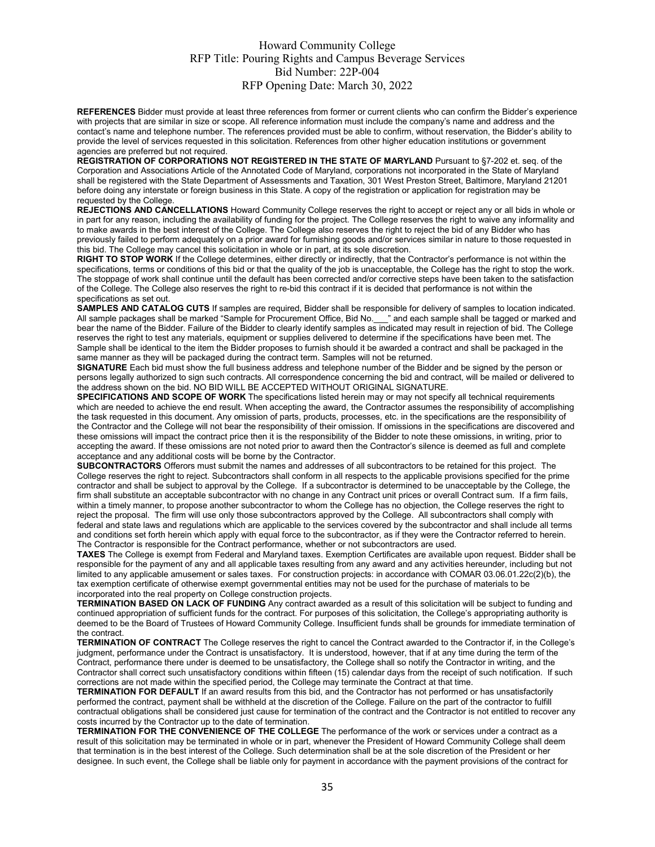**REFERENCES** Bidder must provide at least three references from former or current clients who can confirm the Bidder's experience with projects that are similar in size or scope. All reference information must include the company's name and address and the contact's name and telephone number. The references provided must be able to confirm, without reservation, the Bidder's ability to provide the level of services requested in this solicitation. References from other higher education institutions or government agencies are preferred but not required.

**REGISTRATION OF CORPORATIONS NOT REGISTERED IN THE STATE OF MARYLAND** Pursuant to §7-202 et. seq. of the Corporation and Associations Article of the Annotated Code of Maryland, corporations not incorporated in the State of Maryland shall be registered with the State Department of Assessments and Taxation, 301 West Preston Street, Baltimore, Maryland 21201 before doing any interstate or foreign business in this State. A copy of the registration or application for registration may be requested by the College.

REJECTIONS AND CANCELLATIONS Howard Community College reserves the right to accept or reject any or all bids in whole or in part for any reason, including the availability of funding for the project. The College reserves the right to waive any informality and to make awards in the best interest of the College. The College also reserves the right to reject the bid of any Bidder who has previously failed to perform adequately on a prior award for furnishing goods and/or services similar in nature to those requested in this bid. The College may cancel this solicitation in whole or in part, at its sole discretion.

**RIGHT TO STOP WORK** If the College determines, either directly or indirectly, that the Contractor's performance is not within the specifications, terms or conditions of this bid or that the quality of the job is unacceptable, the College has the right to stop the work. The stoppage of work shall continue until the default has been corrected and/or corrective steps have been taken to the satisfaction of the College. The College also reserves the right to re-bid this contract if it is decided that performance is not within the specifications as set out.

**SAMPLES AND CATALOG CUTS** If samples are required, Bidder shall be responsible for delivery of samples to location indicated.<br>All sample packages shall be marked "Sample for Procurement Office, Bid No. " and each sample s All sample packages shall be marked "Sample for Procurement Office, Bid No. bear the name of the Bidder. Failure of the Bidder to clearly identify samples as indicated may result in rejection of bid. The College reserves the right to test any materials, equipment or supplies delivered to determine if the specifications have been met. The Sample shall be identical to the item the Bidder proposes to furnish should it be awarded a contract and shall be packaged in the same manner as they will be packaged during the contract term. Samples will not be returned.

**SIGNATURE** Each bid must show the full business address and telephone number of the Bidder and be signed by the person or persons legally authorized to sign such contracts. All correspondence concerning the bid and contract, will be mailed or delivered to the address shown on the bid. NO BID WILL BE ACCEPTED WITHOUT ORIGINAL SIGNATURE.

**SPECIFICATIONS AND SCOPE OF WORK** The specifications listed herein may or may not specify all technical requirements which are needed to achieve the end result. When accepting the award, the Contractor assumes the responsibility of accomplishing the task requested in this document. Any omission of parts, products, processes, etc. in the specifications are the responsibility of the Contractor and the College will not bear the responsibility of their omission. If omissions in the specifications are discovered and these omissions will impact the contract price then it is the responsibility of the Bidder to note these omissions, in writing, prior to accepting the award. If these omissions are not noted prior to award then the Contractor's silence is deemed as full and complete acceptance and any additional costs will be borne by the Contractor.

**SUBCONTRACTORS** Offerors must submit the names and addresses of all subcontractors to be retained for this project. The College reserves the right to reject. Subcontractors shall conform in all respects to the applicable provisions specified for the prime contractor and shall be subject to approval by the College. If a subcontractor is determined to be unacceptable by the College, the firm shall substitute an acceptable subcontractor with no change in any Contract unit prices or overall Contract sum. If a firm fails, within a timely manner, to propose another subcontractor to whom the College has no objection, the College reserves the right to reject the proposal. The firm will use only those subcontractors approved by the College. All subcontractors shall comply with federal and state laws and regulations which are applicable to the services covered by the subcontractor and shall include all terms and conditions set forth herein which apply with equal force to the subcontractor, as if they were the Contractor referred to herein. The Contractor is responsible for the Contract performance, whether or not subcontractors are used.

**TAXES** The College is exempt from Federal and Maryland taxes. Exemption Certificates are available upon request. Bidder shall be responsible for the payment of any and all applicable taxes resulting from any award and any activities hereunder, including but not limited to any applicable amusement or sales taxes. For construction projects: in accordance with COMAR 03.06.01.22c(2)(b), the tax exemption certificate of otherwise exempt governmental entities may not be used for the purchase of materials to be incorporated into the real property on College construction projects.

**TERMINATION BASED ON LACK OF FUNDING** Any contract awarded as a result of this solicitation will be subject to funding and continued appropriation of sufficient funds for the contract. For purposes of this solicitation, the College's appropriating authority is deemed to be the Board of Trustees of Howard Community College. Insufficient funds shall be grounds for immediate termination of the contract.

**TERMINATION OF CONTRACT** The College reserves the right to cancel the Contract awarded to the Contractor if, in the College's judgment, performance under the Contract is unsatisfactory. It is understood, however, that if at any time during the term of the Contract, performance there under is deemed to be unsatisfactory, the College shall so notify the Contractor in writing, and the Contractor shall correct such unsatisfactory conditions within fifteen (15) calendar days from the receipt of such notification. If such corrections are not made within the specified period, the College may terminate the Contract at that time.

**TERMINATION FOR DEFAULT** If an award results from this bid, and the Contractor has not performed or has unsatisfactorily performed the contract, payment shall be withheld at the discretion of the College. Failure on the part of the contractor to fulfill contractual obligations shall be considered just cause for termination of the contract and the Contractor is not entitled to recover any costs incurred by the Contractor up to the date of termination.

**TERMINATION FOR THE CONVENIENCE OF THE COLLEGE** The performance of the work or services under a contract as a result of this solicitation may be terminated in whole or in part, whenever the President of Howard Community College shall deem that termination is in the best interest of the College. Such determination shall be at the sole discretion of the President or her designee. In such event, the College shall be liable only for payment in accordance with the payment provisions of the contract for